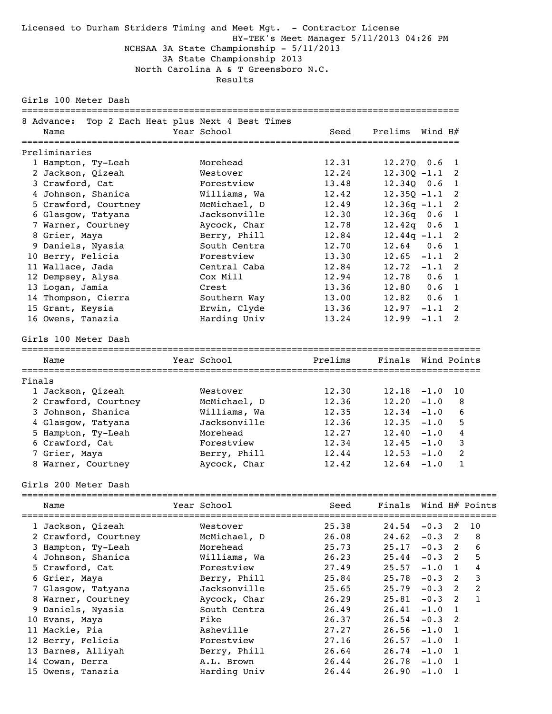### Licensed to Durham Striders Timing and Meet Mgt. - Contractor License HY-TEK's Meet Manager 5/11/2013 04:26 PM NCHSAA 3A State Championship - 5/11/2013 3A State Championship 2013 North Carolina A & T Greensboro N.C. Results

Girls 100 Meter Dash

| 8 Advance:<br>Name   | Top 2 Each Heat plus Next 4 Best Times<br>Year School | Seed    | Prelims                    | Wind H# |                |                  |
|----------------------|-------------------------------------------------------|---------|----------------------------|---------|----------------|------------------|
| Preliminaries        |                                                       |         |                            |         |                |                  |
| 1 Hampton, Ty-Leah   | Morehead                                              | 12.31   | $12.27Q$ 0.6               |         | 1              |                  |
| 2 Jackson, Qizeah    | Westover                                              | 12.24   | $12.30Q - 1.1$             |         | 2              |                  |
| 3 Crawford, Cat      | Forestview                                            | 13.48   | $12.34Q$ 0.6               |         | 1              |                  |
| 4 Johnson, Shanica   | Williams, Wa                                          | 12.42   | $12.35Q -1.1$              |         | 2              |                  |
| 5 Crawford, Courtney | McMichael, D                                          | 12.49   | $12.36q -1.1$              |         | 2              |                  |
| 6 Glasgow, Tatyana   | Jacksonville                                          | 12.30   | $12.36q$ 0.6               |         | $\mathbf{1}$   |                  |
| 7 Warner, Courtney   | Aycock, Char                                          | 12.78   | $12.42q$ 0.6               |         | $\mathbf{1}$   |                  |
| 8 Grier, Maya        | Berry, Phill                                          | 12.84   | $12.44q -1.1$              |         | $\overline{2}$ |                  |
| 9 Daniels, Nyasia    | South Centra                                          | 12.70   | 12.64                      | 0.6     | 1              |                  |
| 10 Berry, Felicia    | Forestview                                            | 13.30   | $12.65 - 1.1$              |         | 2              |                  |
| 11 Wallace, Jada     | Central Caba                                          | 12.84   | $12.72 -1.1$               |         | 2              |                  |
| 12 Dempsey, Alysa    | Cox Mill                                              | 12.94   | 12.78                      | 0.6     | 1              |                  |
| 13 Logan, Jamia      | Crest                                                 | 13.36   | 12.80                      | 0.6     | 1              |                  |
| 14 Thompson, Cierra  | Southern Way                                          | 13.00   | $12.82 \t 0.6$             |         | 1              |                  |
| 15 Grant, Keysia     | Erwin, Clyde                                          | 13.36   | $12.97 - 1.1$              |         | 2              |                  |
| 16 Owens, Tanazia    | Harding Univ                                          | 13.24   | 12.99                      | $-1.1$  | 2              |                  |
| Girls 100 Meter Dash |                                                       |         |                            |         |                |                  |
| Name                 | Year School                                           | Prelims | Finals Wind Points         |         |                |                  |
| Finals               |                                                       |         |                            |         |                |                  |
| 1 Jackson, Qizeah    | Westover                                              | 12.30   | 12.18                      | $-1.0$  | 10             |                  |
| 2 Crawford, Courtney | McMichael, D                                          | 12.36   | 12.20                      | $-1.0$  | 8              |                  |
| 3 Johnson, Shanica   | Williams, Wa                                          | 12.35   | $12.34 - 1.0$              |         | 6              |                  |
| 4 Glasgow, Tatyana   | Jacksonville                                          | 12.36   | $12.35 - 1.0$              |         | 5              |                  |
| 5 Hampton, Ty-Leah   | Morehead                                              | 12.27   | $12.40 - 1.0$              |         | 4              |                  |
| 6 Crawford, Cat      | Forestview                                            | 12.34   | $12.45 - 1.0$              |         | 3              |                  |
| 7 Grier, Maya        | Berry, Phill                                          | 12.44   | $12.53 - 1.0$              |         | 2              |                  |
| 8 Warner, Courtney   | Aycock, Char                                          | 12.42   | $12.64 - 1.0$              |         | $\mathbf{1}$   |                  |
| Girls 200 Meter Dash |                                                       |         |                            |         |                |                  |
| Name                 | Year School                                           |         | Seed Finals Wind H# Points |         |                |                  |
| 1 Jackson, Qizeah    | Westover                                              | 25.38   | 24.54                      | $-0.3$  | 2              | 10               |
| 2 Crawford, Courtney | McMichael, D                                          | 26.08   | 24.62                      | $-0.3$  | 2              | 8                |
| 3 Hampton, Ty-Leah   | Morehead                                              | 25.73   | 25.17                      | $-0.3$  | 2              | 6                |
| 4 Johnson, Shanica   | Williams, Wa                                          | 26.23   | 25.44                      | $-0.3$  | 2              | 5                |
| 5 Crawford, Cat      | Forestview                                            | 27.49   | 25.57                      | $-1.0$  | $\mathbf{1}$   | 4                |
| 6 Grier, Maya        | Berry, Phill                                          | 25.84   | 25.78                      | $-0.3$  | 2              | 3                |
| 7 Glasgow, Tatyana   | Jacksonville                                          | 25.65   | 25.79                      | $-0.3$  | 2              | $\boldsymbol{2}$ |
| 8 Warner, Courtney   | Aycock, Char                                          | 26.29   | 25.81                      | $-0.3$  | 2              | 1                |

 9 Daniels, Nyasia South Centra 26.49 26.41 -1.0 1 10 Evans, Maya Fike 26.37 26.54 -0.3 2 11 Mackie, Pia Asheville 27.27 26.56 -1.0 1 12 Berry, Felicia Forestview 27.16 26.57 -1.0 1 13 Barnes, Alliyah Berry, Phill 26.64 26.74 -1.0 1 14 Cowan, Derra A.L. Brown 26.44 26.78 -1.0 1 15 Owens, Tanazia Harding Univ 26.44 26.90 -1.0 1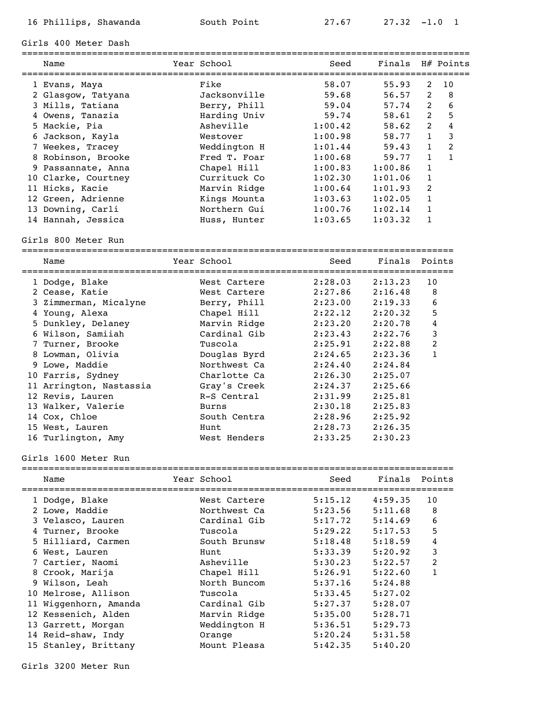Girls 400 Meter Dash

| Name                | Year School  | Seed    | Finals H# Points |                |                |
|---------------------|--------------|---------|------------------|----------------|----------------|
| 1 Evans, Maya       | Fike         | 58.07   | 55.93            | 2              | 10             |
| 2 Glasgow, Tatyana  | Jacksonville | 59.68   | 56.57            | 2              | -8             |
| 3 Mills, Tatiana    | Berry, Phill | 59.04   | 57.74            | 2              | 6              |
| 4 Owens, Tanazia    | Harding Univ | 59.74   | 58.61            | 2              | 5              |
| 5 Mackie, Pia       | Asheville    | 1:00.42 | 58.62            | $2^{1}$        | 4              |
| 6 Jackson, Kayla    | Westover     | 1:00.98 | 58.77            | $\mathbf{1}$   | 3              |
| 7 Weekes, Tracey    | Weddington H | 1:01.44 | 59.43            | $\mathbf{1}$   | $\mathfrak{D}$ |
| 8 Robinson, Brooke  | Fred T. Foar | 1:00.68 | 59.77            | $\mathbf{1}$   | $\mathbf{1}$   |
| 9 Passannate, Anna  | Chapel Hill  | 1:00.83 | 1:00.86          | $\mathbf{1}$   |                |
| 10 Clarke, Courtney | Currituck Co | 1:02.30 | 1:01.06          | $\mathbf{1}$   |                |
| 11 Hicks, Kacie     | Marvin Ridge | 1:00.64 | 1:01.93          | $\overline{2}$ |                |
| 12 Green, Adrienne  | Kings Mounta | 1:03.63 | 1:02.05          | 1              |                |
| 13 Downing, Carli   | Northern Gui | 1:00.76 | 1:02.14          | $\mathbf{1}$   |                |
| 14 Hannah, Jessica  | Huss, Hunter | 1:03.65 | 1:03.32          | 1              |                |
|                     |              |         |                  |                |                |

Girls 800 Meter Run

|  | Name                    | Year School  | Seed    | Finals Points |              |
|--|-------------------------|--------------|---------|---------------|--------------|
|  | 1 Dodge, Blake          | West Cartere | 2:28.03 | 2:13.23       | 10           |
|  | 2 Cease, Katie          | West Cartere | 2:27.86 | 2:16.48       | 8            |
|  | 3 Zimmerman, Micalyne   | Berry, Phill | 2:23.00 | 2:19.33       | 6            |
|  | 4 Young, Alexa          | Chapel Hill  | 2:22.12 | 2:20.32       | 5            |
|  | 5 Dunkley, Delaney      | Marvin Ridge | 2:23.20 | 2:20.78       | 4            |
|  | 6 Wilson, Samiiah       | Cardinal Gib | 2:23.43 | 2:22.76       | 3            |
|  | 7 Turner, Brooke        | Tuscola      | 2:25.91 | 2:22.88       | 2            |
|  | 8 Lowman, Olivia        | Douglas Byrd | 2:24.65 | 2:23.36       | $\mathbf{1}$ |
|  | 9 Lowe, Maddie          | Northwest Ca | 2:24.40 | 2:24.84       |              |
|  | 10 Farris, Sydney       | Charlotte Ca | 2:26.30 | 2:25.07       |              |
|  | 11 Arrington, Nastassia | Gray's Creek | 2:24.37 | 2:25.66       |              |
|  | 12 Revis, Lauren        | R-S Central  | 2:31.99 | 2:25.81       |              |
|  | 13 Walker, Valerie      | Burns        | 2:30.18 | 2:25.83       |              |
|  | 14 Cox, Chloe           | South Centra | 2:28.96 | 2:25.92       |              |
|  | 15 West, Lauren         | Hunt         | 2:28.73 | 2:26.35       |              |
|  | 16 Turlington, Amy      | West Henders | 2:33.25 | 2:30.23       |              |
|  |                         |              |         |               |              |

### Girls 1600 Meter Run

| Name                  | Year School  | Seed    | Finals Points |                |
|-----------------------|--------------|---------|---------------|----------------|
| 1 Dodge, Blake        | West Cartere | 5:15.12 | 4:59.35       | 10             |
| 2 Lowe, Maddie        | Northwest Ca | 5:23.56 | 5:11.68       | 8              |
| 3 Velasco, Lauren     | Cardinal Gib | 5:17.72 | 5:14.69       | 6              |
| 4 Turner, Brooke      | Tuscola      | 5:29.22 | 5:17.53       | 5              |
| 5 Hilliard, Carmen    | South Brunsw | 5:18.48 | 5:18.59       | 4              |
| 6 West, Lauren        | Hunt         | 5:33.39 | 5:20.92       | 3              |
| 7 Cartier, Naomi      | Asheville    | 5:30.23 | 5:22.57       | $\overline{2}$ |
| 8 Crook, Marija       | Chapel Hill  | 5:26.91 | 5:22.60       |                |
| 9 Wilson, Leah        | North Buncom | 5:37.16 | 5:24.88       |                |
| 10 Melrose, Allison   | Tuscola      | 5:33.45 | 5:27.02       |                |
| 11 Wiggenhorn, Amanda | Cardinal Gib | 5:27.37 | 5:28.07       |                |
| 12 Kessenich, Alden   | Marvin Ridge | 5:35.00 | 5:28.71       |                |
| 13 Garrett, Morgan    | Weddington H | 5:36.51 | 5:29.73       |                |
| 14 Reid-shaw, Indy    | Orange       | 5:20.24 | 5:31.58       |                |
| 15 Stanley, Brittany  | Mount Pleasa | 5:42.35 | 5:40.20       |                |

Girls 3200 Meter Run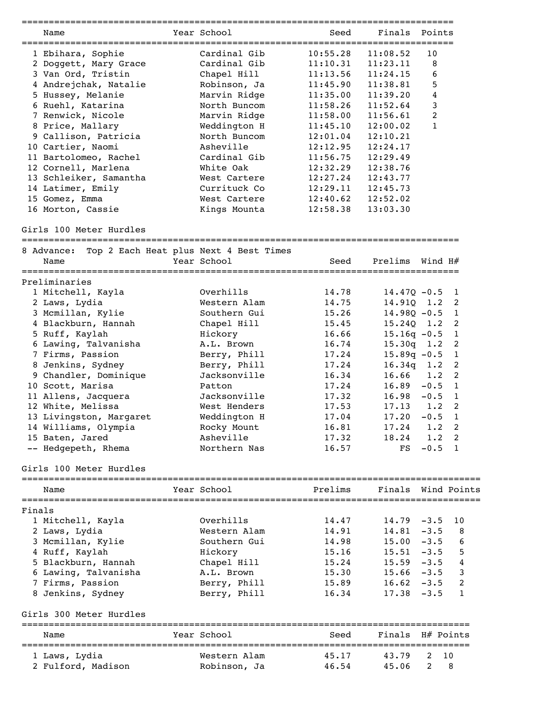|        |                                        | ================                       | ==================================== |                    |                |                         |
|--------|----------------------------------------|----------------------------------------|--------------------------------------|--------------------|----------------|-------------------------|
|        | Name                                   | Year School                            | Seed                                 | Finals             | Points         |                         |
|        | 1 Ebihara, Sophie                      | Cardinal Gib                           | 10:55.28                             | 11:08.52           | 10             |                         |
|        | 2 Doggett, Mary Grace                  | Cardinal Gib                           | 11:10.31                             | 11:23.11           | 8              |                         |
|        | 3 Van Ord, Tristin                     | Chapel Hill                            | 11:13.56                             | 11:24.15           | 6              |                         |
|        | 4 Andrejchak, Natalie                  | Robinson, Ja                           | 11:45.90                             | 11:38.81           | 5              |                         |
|        |                                        | Marvin Ridge                           |                                      | 11:39.20           | $\overline{4}$ |                         |
|        | 5 Hussey, Melanie<br>6 Ruehl, Katarina | North Buncom                           | 11:35.00                             | 11:52.64           | 3              |                         |
|        |                                        |                                        | 11:58.26                             |                    | 2              |                         |
|        | 7 Renwick, Nicole                      | Marvin Ridge                           | 11:58.00                             | 11:56.61           | $\mathbf{1}$   |                         |
|        | 8 Price, Mallary                       | Weddington H                           | 11:45.10                             | 12:00.02           |                |                         |
|        | 9 Callison, Patricia                   | North Buncom                           | 12:01.04                             | 12:10.21           |                |                         |
|        | 10 Cartier, Naomi                      | Asheville                              | 12:12.95                             | 12:24.17           |                |                         |
|        | 11 Bartolomeo, Rachel                  | Cardinal Gib                           | 11:56.75                             | 12:29.49           |                |                         |
|        | 12 Cornell, Marlena                    | White Oak                              | 12:32.29                             | 12:38.76           |                |                         |
|        | 13 Schleiker, Samantha                 | West Cartere                           | 12:27.24                             | 12:43.77           |                |                         |
|        | 14 Latimer, Emily                      | Currituck Co                           | 12:29.11                             | 12:45.73           |                |                         |
|        | 15 Gomez, Emma                         | West Cartere                           | 12:40.62                             | 12:52.02           |                |                         |
|        | 16 Morton, Cassie                      | Kings Mounta                           | 12:58.38                             | 13:03.30           |                |                         |
|        | Girls 100 Meter Hurdles                |                                        |                                      |                    |                |                         |
|        | 8 Advance:                             | Top 2 Each Heat plus Next 4 Best Times |                                      |                    |                |                         |
|        | Name                                   | Year School                            | Seed                                 | Prelims            | Wind H#        |                         |
|        | ==================<br>Preliminaries    |                                        |                                      |                    |                |                         |
|        | 1 Mitchell, Kayla                      | Overhills                              | 14.78                                | $14.47Q - 0.5$     |                | 1                       |
|        |                                        | Western Alam                           | 14.75                                | 14.910             | 1.2            | 2                       |
|        | 2 Laws, Lydia                          |                                        |                                      |                    |                |                         |
|        | 3 Mcmillan, Kylie                      | Southern Gui                           | 15.26                                | $14.98Q - 0.5$     |                | $\mathbf{1}$            |
|        | 4 Blackburn, Hannah                    | Chapel Hill                            | 15.45                                | 15.24Q             | 1.2            | 2                       |
|        | 5 Ruff, Kaylah                         | Hickory                                | 16.66                                | $15.16q - 0.5$     |                | $\mathbf{1}$            |
|        | 6 Lawing, Talvanisha                   | A.L. Brown                             | 16.74                                | 15.30q             | 1.2            | 2                       |
|        | 7 Firms, Passion                       | Berry, Phill                           | 17.24                                | $15.89q - 0.5$     |                | $\mathbf{1}$            |
|        | 8 Jenkins, Sydney                      | Berry, Phill                           | 17.24                                | 16.34q             | 1.2            | 2                       |
|        | 9 Chandler, Dominique                  | Jacksonville                           | 16.34                                | 16.66              | 1.2            | 2                       |
|        | 10 Scott, Marisa                       | Patton                                 | 17.24                                | 16.89              | $-0.5$         | $\overline{1}$          |
|        | 11 Allens, Jacquera                    | Jacksonville                           | 17.32                                | 16.98              | $-0.5$         | - 1                     |
|        | 12 White, Melissa                      | West Henders                           | 17.53                                | 17.13              | 1.2            | 2                       |
|        | 13 Livingston, Margaret                | Weddington H                           | 17.04                                | 17.20              | $-0.5$         | $\mathbf{1}$            |
|        | 14 Williams, Olympia                   | Rocky Mount                            | 16.81                                | 17.24              | 1.2            | 2                       |
|        | 15 Baten, Jared                        | Asheville                              | 17.32                                | 18.24              | 1.2            | $\overline{\mathbf{2}}$ |
|        | -- Hedgepeth, Rhema                    | Northern Nas                           | 16.57                                | FS                 | $-0.5$         | $\overline{1}$          |
|        | Girls 100 Meter Hurdles                |                                        |                                      |                    |                |                         |
|        |                                        | Year School                            | Prelims                              | Finals Wind Points |                |                         |
|        | Name<br>========================       |                                        |                                      |                    |                |                         |
| Finals |                                        |                                        |                                      |                    |                |                         |
|        | 1 Mitchell, Kayla                      | Overhills                              | 14.47                                | 14.79              | $-3.5$         | 10                      |
|        | 2 Laws, Lydia                          | Western Alam                           | 14.91                                | 14.81              | $-3.5$         | 8                       |
|        | 3 Mcmillan, Kylie                      | Southern Gui                           | 14.98                                | 15.00              | $-3.5$         | 6                       |
|        | 4 Ruff, Kaylah                         | Hickory                                | 15.16                                | 15.51              | $-3.5$         | 5                       |
|        | 5 Blackburn, Hannah                    | Chapel Hill                            | 15.24                                | 15.59              | $-3.5$         | 4                       |
|        | 6 Lawing, Talvanisha                   | A.L. Brown                             | 15.30                                | 15.66              | $-3.5$         | 3                       |
|        | 7 Firms, Passion                       | Berry, Phill                           | 15.89                                | 16.62              | $-3.5$         | 2                       |
|        | 8 Jenkins, Sydney                      | Berry, Phill                           | 16.34                                | 17.38              | $-3.5$         | 1                       |
|        | Girls 300 Meter Hurdles                |                                        |                                      |                    |                |                         |
|        |                                        |                                        |                                      |                    |                |                         |
|        | Name                                   | Year School                            | Seed                                 | Finals H# Points   |                |                         |
|        | 1 Laws, Lydia                          | Western Alam                           | 45.17                                | 43.79              | 2              | 10                      |
|        | 2 Fulford, Madison                     | Robinson, Ja                           | 46.54                                | 45.06              | $\mathbf{2}$   | 8                       |
|        |                                        |                                        |                                      |                    |                |                         |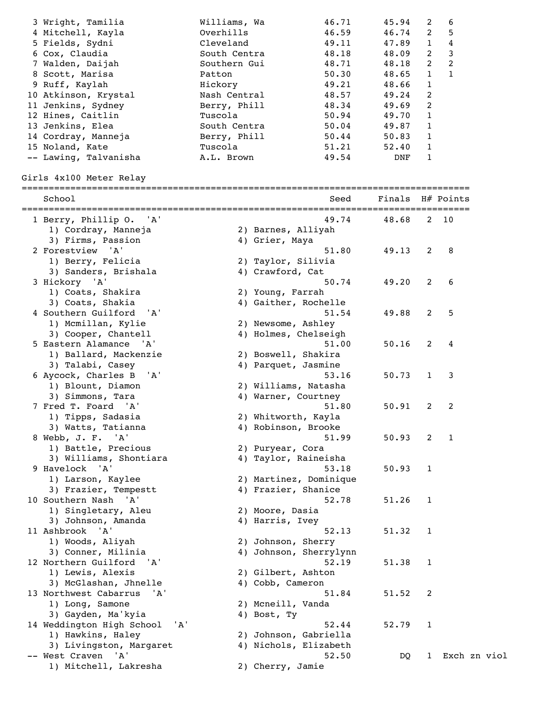| 3 Wright, Tamilia                  | Williams, Wa | 46.71                  | 45.94  | 2            | 6            |
|------------------------------------|--------------|------------------------|--------|--------------|--------------|
| 4 Mitchell, Kayla                  | Overhills    | 46.59                  | 46.74  | 2            | 5            |
| 5 Fields, Sydni                    | Cleveland    | 49.11                  | 47.89  | $\mathbf{1}$ | 4            |
| 6 Cox, Claudia                     | South Centra | 48.18                  | 48.09  | 2            | 3            |
| 7 Walden, Daijah                   | Southern Gui | 48.71                  | 48.18  | 2            | 2            |
| 8 Scott, Marisa                    | Patton       | 50.30                  | 48.65  | 1            | $\mathbf{1}$ |
| 9 Ruff, Kaylah                     | Hickory      | 49.21                  | 48.66  | $\mathbf{1}$ |              |
| 10 Atkinson, Krystal               | Nash Central | 48.57                  | 49.24  | 2            |              |
| 11 Jenkins, Sydney                 | Berry, Phill | 48.34                  | 49.69  | 2            |              |
| 12 Hines, Caitlin                  | Tuscola      | 50.94                  | 49.70  | 1            |              |
| 13 Jenkins, Elea                   | South Centra | 50.04                  | 49.87  | $\mathbf{1}$ |              |
| 14 Cordray, Manneja                | Berry, Phill | 50.44                  | 50.83  | $\mathbf{1}$ |              |
| 15 Noland, Kate                    | Tuscola      | 51.21                  | 52.40  | $\mathbf{1}$ |              |
| -- Lawing, Talvanisha              | A.L. Brown   | 49.54                  | DNF    | $\mathbf{1}$ |              |
|                                    |              |                        |        |              |              |
| Girls 4x100 Meter Relay            |              |                        |        |              |              |
| School                             |              | Seed                   | Finals |              | H# Points    |
| 1 Berry, Phillip O. 'A'            |              | 49.74                  | 48.68  |              | 2 10         |
| 1) Cordray, Manneja                |              | 2) Barnes, Alliyah     |        |              |              |
| 3) Firms, Passion                  |              | 4) Grier, Maya         |        |              |              |
| 2 Forestview 'A'                   |              | 51.80                  | 49.13  | 2            | 8            |
| 1) Berry, Felicia                  |              | 2) Taylor, Silivia     |        |              |              |
| 3) Sanders, Brishala               |              | 4) Crawford, Cat       |        |              |              |
| 3 Hickory 'A'                      |              | 50.74                  | 49.20  | 2            | 6            |
| 1) Coats, Shakira                  |              | 2) Young, Farrah       |        |              |              |
| 3) Coats, Shakia                   |              | 4) Gaither, Rochelle   |        |              |              |
| 4 Southern Guilford<br>'A'         |              | 51.54                  | 49.88  | 2            | 5            |
| 1) Mcmillan, Kylie                 |              | 2) Newsome, Ashley     |        |              |              |
| 3) Cooper, Chantell                |              | 4) Holmes, Chelseigh   |        |              |              |
| 5 Eastern Alamance 'A'             |              | 51.00                  | 50.16  | 2            | 4            |
| 1) Ballard, Mackenzie              |              | 2) Boswell, Shakira    |        |              |              |
| 3) Talabi, Casey                   |              | 4) Parquet, Jasmine    |        |              |              |
| 6 Aycock, Charles B<br>'A'         |              | 53.16                  | 50.73  | 1            | 3            |
| 1) Blount, Diamon                  |              | 2) Williams, Natasha   |        |              |              |
| 3) Simmons, Tara                   |              | 4) Warner, Courtney    |        |              |              |
| 7 Fred T. Foard 'A'                |              | 51.80                  | 50.91  | 2            | 2            |
| 1) Tipps, Sadasia                  |              | 2) Whitworth, Kayla    |        |              |              |
| 3) Watts, Tatianna                 |              | 4) Robinson, Brooke    |        |              |              |
| 8 Webb, J. F. 'A'                  |              | 51.99                  | 50.93  | 2            | $\mathbf{1}$ |
| 1) Battle, Precious                |              | 2) Puryear, Cora       |        |              |              |
| 3) Williams, Shontiara             |              | 4) Taylor, Raineisha   |        |              |              |
| 9 Havelock 'A'                     |              | 53.18                  | 50.93  | 1            |              |
| 1) Larson, Kaylee                  |              | 2) Martinez, Dominique |        |              |              |
| 3) Frazier, Tempestt               |              | 4) Frazier, Shanice    |        |              |              |
| 10 Southern Nash<br>'A'            |              | 52.78                  | 51.26  | 1            |              |
| 1) Singletary, Aleu                |              | 2) Moore, Dasia        |        |              |              |
| 3) Johnson, Amanda                 |              | 4) Harris, Ivey        |        |              |              |
| 11 Ashbrook<br>'A'                 |              | 52.13                  | 51.32  | 1            |              |
| 1) Woods, Aliyah                   |              | 2) Johnson, Sherry     |        |              |              |
| 3) Conner, Milinia                 |              | 4) Johnson, Sherrylynn |        |              |              |
| 12 Northern Guilford<br>' 'A '     |              | 52.19                  | 51.38  | 1            |              |
| 1) Lewis, Alexis                   |              | 2) Gilbert, Ashton     |        |              |              |
| 3) McGlashan, Jhnelle              |              | 4) Cobb, Cameron       |        |              |              |
| 13 Northwest Cabarrus<br>'A'       |              | 51.84                  | 51.52  | 2            |              |
| 1) Long, Samone                    |              | 2) Mcneill, Vanda      |        |              |              |
| 3) Gayden, Ma'kyia                 |              | 4) Bost, Ty            |        |              |              |
| 14 Weddington High School<br>' A ' |              | 52.44                  | 52.79  | 1            |              |
| 1) Hawkins, Haley                  |              | 2) Johnson, Gabriella  |        |              |              |
| 3) Livingston, Margaret            |              | 4) Nichols, Elizabeth  |        |              |              |
| -- West Craven 'A'                 |              | 52.50                  | DQ     | $\mathbf{1}$ | Exch zn viol |
| 1) Mitchell, Lakresha              |              | 2) Cherry, Jamie       |        |              |              |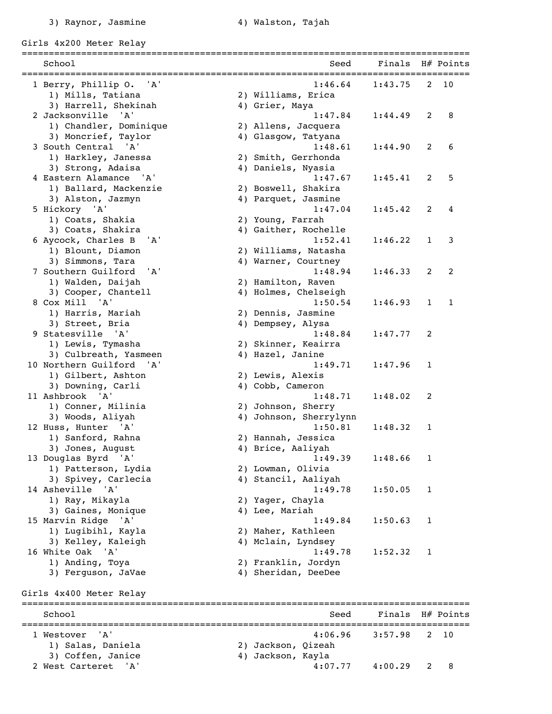Girls 4x200 Meter Relay

| School                                           | Seed                                   | Finals H# Points |              |              |
|--------------------------------------------------|----------------------------------------|------------------|--------------|--------------|
|                                                  | ====================================== |                  |              |              |
| 1 Berry, Phillip O.<br>' A '                     | 1:46.64                                | 1:43.75          | 2            | 10           |
| 1) Mills, Tatiana<br>3) Harrell, Shekinah        | 2) Williams, Erica<br>4) Grier, Maya   |                  |              |              |
| 2 Jacksonville<br>' A '                          | 1:47.84                                | 1:44.49          | 2            | 8            |
| 1) Chandler, Dominique                           | 2) Allens, Jacquera                    |                  |              |              |
| 3) Moncrief, Taylor                              | 4) Glasgow, Tatyana                    |                  |              |              |
| 3 South Central 'A'                              | 1:48.61                                | 1:44.90          | 2            | 6            |
| 1) Harkley, Janessa                              | 2) Smith, Gerrhonda                    |                  |              |              |
| 3) Strong, Adaisa                                | 4) Daniels, Nyasia                     |                  |              |              |
| 4 Eastern Alamance 'A'                           | 1:47.67                                | 1:45.41          | 2            | 5            |
| 1) Ballard, Mackenzie                            | 2) Boswell, Shakira                    |                  |              |              |
| 3) Alston, Jazmyn                                | 4) Parquet, Jasmine                    |                  |              |              |
| 5 Hickory 'A'                                    | 1:47.04                                | 1:45.42          | 2            | 4            |
| 1) Coats, Shakia                                 | 2) Young, Farrah                       |                  |              |              |
| 3) Coats, Shakira                                | 4) Gaither, Rochelle                   |                  |              |              |
| 6 Aycock, Charles B<br>'A'                       | 1:52.41                                | 1:46.22          | $\mathbf{1}$ | 3            |
| 1) Blount, Diamon                                | 2) Williams, Natasha                   |                  |              |              |
| 3) Simmons, Tara                                 | 4) Warner, Courtney                    |                  |              |              |
| 7 Southern Guilford<br>$^{\prime}$ A $^{\prime}$ | 1:48.94                                | 1:46.33          | 2            | 2            |
| 1) Walden, Daijah                                | 2) Hamilton, Raven                     |                  |              |              |
| 3) Cooper, Chantell<br>8 Cox Mill 'A'            | 4) Holmes, Chelseigh<br>1:50.54        | 1:46.93          | $\mathbf{1}$ | $\mathbf{1}$ |
| 1) Harris, Mariah                                | 2) Dennis, Jasmine                     |                  |              |              |
| 3) Street, Bria                                  | 4) Dempsey, Alysa                      |                  |              |              |
| 9 Statesville 'A'                                | 1:48.84                                | 1:47.77          | 2            |              |
| 1) Lewis, Tymasha                                | 2) Skinner, Keairra                    |                  |              |              |
| 3) Culbreath, Yasmeen                            | 4) Hazel, Janine                       |                  |              |              |
| 10 Northern Guilford<br>'A'                      | 1:49.71                                | 1:47.96          | $\mathbf{1}$ |              |
| 1) Gilbert, Ashton                               | 2) Lewis, Alexis                       |                  |              |              |
| 3) Downing, Carli                                | 4) Cobb, Cameron                       |                  |              |              |
| 11 Ashbrook 'A'                                  | 1:48.71                                | 1:48.02          | 2            |              |
| 1) Conner, Milinia                               | 2) Johnson, Sherry                     |                  |              |              |
| 3) Woods, Aliyah                                 | 4) Johnson, Sherrylynn                 |                  |              |              |
| 12 Huss, Hunter 'A'                              | 1:50.81                                | 1:48.32          | $\mathbf{1}$ |              |
| 1) Sanford, Rahna                                | 2) Hannah, Jessica                     |                  |              |              |
| 3) Jones, August                                 | 4) Brice, Aaliyah                      |                  |              |              |
| 13 Douglas Byrd 'A'                              | 1:49.39                                | 1:48.66          | 1            |              |
| 1) Patterson, Lydia                              | 2) Lowman, Olivia                      |                  |              |              |
| 3) Spivey, Carlecia<br>'A'<br>14 Asheville       | 4) Stancil, Aaliyah<br>1:49.78         | 1:50.05          | 1            |              |
| 1) Ray, Mikayla                                  | 2) Yager, Chayla                       |                  |              |              |
| 3) Gaines, Monique                               | 4) Lee, Mariah                         |                  |              |              |
| 15 Marvin Ridge<br>$'$ A $'$                     | 1:49.84                                | 1:50.63          | 1            |              |
| 1) Lugibihl, Kayla                               | 2) Maher, Kathleen                     |                  |              |              |
| 3) Kelley, Kaleigh                               | 4) Mclain, Lyndsey                     |                  |              |              |
| 16 White Oak 'A'                                 | 1:49.78                                | 1:52.32          | 1            |              |
| 1) Anding, Toya                                  | 2) Franklin, Jordyn                    |                  |              |              |
| 3) Ferguson, JaVae                               | 4) Sheridan, DeeDee                    |                  |              |              |
|                                                  |                                        |                  |              |              |
| Girls 4x400 Meter Relay                          |                                        |                  |              |              |
|                                                  |                                        |                  |              |              |
| School                                           | Seed                                   | Finals           |              | H# Points    |
| ' A '<br>1 Westover                              | 4:06.96                                | 3:57.98          | 2            | 10           |
| 1) Salas, Daniela                                | 2) Jackson, Qizeah                     |                  |              |              |
| 3) Coffen, Janice                                | 4) Jackson, Kayla                      |                  |              |              |
| 2 West Carteret 'A'                              | 4:07.77                                | 4:00.29          | 2            | 8            |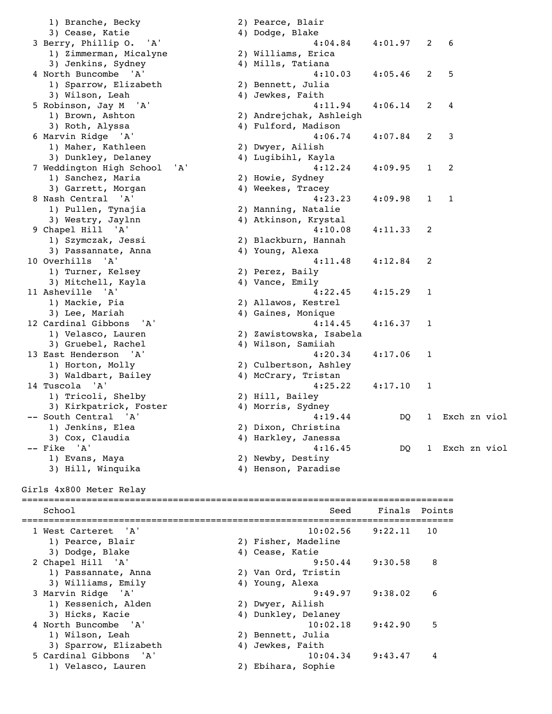1) Branche, Becky 2 3) Cease, Katie 4 3 Berry, Phillip O. 'A' 1) Zimmerman, Micalyne 2 3) Jenkins, Sydney 4 4 North Buncombe 'A' 1) Sparrow, Elizabeth 2 3) Wilson, Leah 4 5 Robinson, Jay M 'A' 1) Brown, Ashton 2 3) Roth, Alyssa 4 6 Marvin Ridge 'A' 1) Maher, Kathleen 2 3) Dunkley, Delaney 4 7 Weddington High School 'A' 1) Sanchez, Maria 2 3) Garrett, Morgan 4 8 Nash Central 'A' 1) Pullen, Tynajia 2 3) Westry, Jaylnn 4 9 Chapel Hill 'A' 1) Szymczak, Jessi 2 3) Passannate, Anna 4 10 Overhills 'A' 1) Turner, Kelsey 2 3) Mitchell, Kayla 4 11 Asheville 'A' 1) Mackie, Pia 2020 3) Lee, Mariah 4 12 Cardinal Gibbons 'A' 1) Velasco, Lauren 2<br>3) Gruebel, Rachel 2<br>4 3) Gruebel, Rachel 13 East Henderson 'A' 1) Horton, Molly 2 3) Waldbart, Bailey 4 14 Tuscola 'A' 1) Tricoli, Shelby 2 3) Kirkpatrick, Foster 4 -- South Central 'A' 4:19.44 DQ 1 Exch zn viol 1) Jenkins, Elea 2 3) Cox, Claudia 4 -- Fike 'A' 4:16.45 DQ 1 Exch zn viol 1) Evans, Maya 2 3) Hill, Winquika  $4)$ Girls 4x800 Meter Relay ================================================================================ 1) Velasco, Lauren 2) Ebihara, Sophie

| $\lambda$     | Pearce, Blair                           |         |                |             |  |
|---------------|-----------------------------------------|---------|----------------|-------------|--|
|               | ) Dodge, Blake                          |         |                |             |  |
|               | 4:04.84                                 | 4:01.97 | $\overline{2}$ | 6           |  |
| ⟩             | Williams, Erica                         |         |                |             |  |
|               | ) Mills, Tatiana                        |         |                |             |  |
|               | 4:10.03                                 | 4:05.46 | 2              | 5           |  |
| ).            | Bennett, Julia                          |         |                |             |  |
|               | ) Jewkes, Faith                         |         |                |             |  |
|               | 4:11.94                                 | 4:06.14 | 2              | 4           |  |
|               | ) Andrejchak, Ashleigh                  |         |                |             |  |
|               | ) Fulford, Madison                      |         |                |             |  |
|               | 4:06.74                                 | 4:07.84 | 2              | 3           |  |
|               | ) Dwyer, Ailish                         |         |                |             |  |
| $\mathcal{L}$ | Lugibihl, Kayla                         |         |                |             |  |
|               | 4:12.24                                 | 4:09.95 | 1              | 2           |  |
|               | ) Howie, Sydney                         |         |                |             |  |
|               | ) Weekes, Tracey                        |         |                |             |  |
|               | 4:23.23                                 | 4:09.98 | 1              | 1           |  |
|               | ) Manning, Natalie                      |         |                |             |  |
| $\mathcal{L}$ | Atkinson, Krystal                       |         |                |             |  |
|               | 4:10.08                                 | 4:11.33 | 2              |             |  |
|               | ) Blackburn, Hannah                     |         |                |             |  |
|               | ) Young, Alexa                          |         |                |             |  |
|               | 4:11.48                                 |         | 2              |             |  |
|               |                                         | 4:12.84 |                |             |  |
|               | ) Perez, Baily                          |         |                |             |  |
|               | ) Vance, Emily<br>4:22.45               | 4:15.29 | 1              |             |  |
|               |                                         |         |                |             |  |
|               | ) Allawos, Kestrel<br>) Gaines, Monique |         |                |             |  |
|               |                                         |         |                |             |  |
|               | 4:14.45                                 | 4:16.37 | 1              |             |  |
| ).            | Zawistowska, Isabela                    |         |                |             |  |
|               | ) Wilson, Samiiah                       |         |                |             |  |
|               | 4:20.34                                 | 4:17.06 | 1              |             |  |
|               | ) Culbertson, Ashley                    |         |                |             |  |
|               | ) McCrary, Tristan                      |         |                |             |  |
|               | 4:25.22                                 | 4:17.10 | 1              |             |  |
|               | ) Hill, Bailey                          |         |                |             |  |
|               | ) Morris, Sydney                        |         |                |             |  |
|               | 4:19.44                                 | DQ      | $\mathbf{1}$   | Exch zn vic |  |
|               | ) Dixon, Christina                      |         |                |             |  |
|               | ) Harkley, Janessa                      |         |                |             |  |
|               | 4:16.45                                 | DQ      | 1              | Exch zn vic |  |
|               | ) Newby, Destiny                        |         |                |             |  |
| $\lambda$     | Henson, Paradise                        |         |                |             |  |

 School Seed Finals Points ================================================================================ 1 West Carteret 'A' 10:02.56 9:22.11 10 1) Pearce, Blair 2) Fisher, Madeline 3) Dodge, Blake 4) Cease, Katie 2 Chapel Hill 'A' 9:50.44 9:30.58 8 1) Passannate, Anna 2) Van Ord, Tristin 3) Williams, Emily 4) Young, Alexa 3 Marvin Ridge 'A' 9:49.97 9:38.02 6 2) Dwyer, Ailish 3) Hicks, Kacie 4) Dunkley, Delaney 4 North Buncombe 'A' 10:02.18 9:42.90 5 1) Wilson, Leah 2) Bennett, Julia 3) Sparrow, Elizabeth 4) Jewkes, Faith 5 Cardinal Gibbons 'A' 10:04.34 9:43.47 4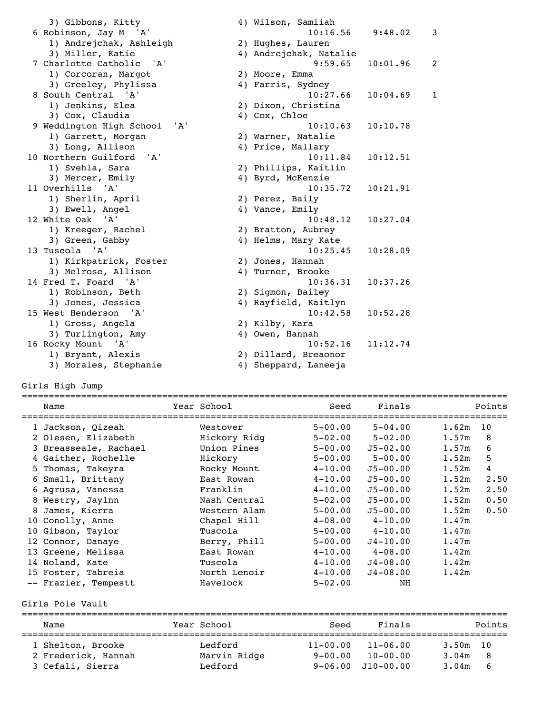| 3) Gibbons, Kitty                 | 4) Wilson, Samiiah     |          |              |
|-----------------------------------|------------------------|----------|--------------|
| 6 Robinson, Jay M 'A'             | 10:16.56               | 9:48.02  | 3            |
| 1) Andrejchak, Ashleigh           | 2) Hughes, Lauren      |          |              |
| 3) Miller, Katie                  | 4) Andrejchak, Natalie |          |              |
| 7 Charlotte Catholic<br><b>A'</b> | 9:59.65                | 10:01.96 | 2            |
| 1) Corcoran, Margot               | 2) Moore, Emma         |          |              |
| 3) Greeley, Phylissa              | 4) Farris, Sydney      |          |              |
| 8 South Central 'A'               | 10:27.66               | 10:04.69 | $\mathbf{1}$ |
| 1) Jenkins, Elea                  | 2) Dixon, Christina    |          |              |
| 3) Cox, Claudia                   | 4) Cox, Chloe          |          |              |
| 9 Weddington High School<br>' A'  | 10:10.63               | 10:10.78 |              |
| 1) Garrett, Morgan                | 2) Warner, Natalie     |          |              |
| 3) Long, Allison                  | 4) Price, Mallary      |          |              |
| 10 Northern Guilford 'A'          | 10:11.84               | 10:12.51 |              |
| 1) Svehla, Sara                   | 2) Phillips, Kaitlin   |          |              |
| 3) Mercer, Emily                  | 4) Byrd, McKenzie      |          |              |
| 11 Overhills 'A'                  | 10:35.72               | 10:21.91 |              |
| 1) Sherlin, April                 | 2) Perez, Baily        |          |              |
| 3) Ewell, Angel                   | 4) Vance, Emily        |          |              |
| 12 White Oak 'A'                  | 10:48.12               | 10:27.04 |              |
| 1) Kreeger, Rachel                | 2) Bratton, Aubrey     |          |              |
| 3) Green, Gabby                   | 4) Helms, Mary Kate    |          |              |
| 13 Tuscola 'A'                    | 10:25.45               | 10:28.09 |              |
| 1) Kirkpatrick, Foster            | 2) Jones, Hannah       |          |              |
| 3) Melrose, Allison               | 4) Turner, Brooke      |          |              |
| 14 Fred T. Foard 'A'              | 10:36.31               | 10:37.26 |              |
| 1) Robinson, Beth                 | 2) Sigmon, Bailey      |          |              |
| 3) Jones, Jessica                 | 4) Rayfield, Kaitlyn   |          |              |
| 15 West Henderson 'A'             | 10:42.58               | 10:52.28 |              |
| 1) Gross, Angela                  | 2) Kilby, Kara         |          |              |
| 3) Turlington, Amy                | 4) Owen, Hannah        |          |              |
| 16 Rocky Mount 'A'                | 10:52.16               | 11:12.74 |              |
| 1) Bryant, Alexis                 | 2) Dillard, Breaonor   |          |              |
| 3) Morales, Stephanie             | 4) Sheppard, Laneeja   |          |              |

Girls High Jump

| Name                  | Year School  | Seed<br>================ | Finals       |             | Points |
|-----------------------|--------------|--------------------------|--------------|-------------|--------|
| 1 Jackson, Qizeah     | Westover     | $5 - 00.00$              | $5 - 04.00$  | 1.62m<br>10 |        |
| 2 Olesen, Elizabeth   | Hickory Ridg | $5 - 02.00$              | $5 - 02.00$  | 1.57m       | 8      |
| 3 Breasseale, Rachael | Union Pines  | $5 - 00.00$              | $J5 - 02.00$ | 1.57m       | 6      |
| 4 Gaither, Rochelle   | Hickory      | $5 - 00.00$              | $5 - 00.00$  | 1.52m       | 5      |
| 5 Thomas, Takeyra     | Rocky Mount  | $4 - 10.00$              | $J5 - 00.00$ | 1.52m       | 4      |
| 6 Small, Brittany     | East Rowan   | $4 - 10.00$              | $J5 - 00.00$ | 1.52m       | 2.50   |
| 6 Agrusa, Vanessa     | Franklin     | $4 - 10.00$              | $J5 - 00.00$ | 1.52m       | 2.50   |
| 8 Westry, Jaylnn      | Nash Central | $5 - 02.00$              | $J5 - 00.00$ | 1.52m       | 0.50   |
| 8 James, Kierra       | Western Alam | $5 - 00.00$              | $J5 - 00.00$ | 1.52m       | 0.50   |
| 10 Conolly, Anne      | Chapel Hill  | $4 - 08.00$              | $4 - 10.00$  | 1.47m       |        |
| 10 Gibson, Taylor     | Tuscola      | $5 - 00.00$              | $4 - 10.00$  | 1.47m       |        |
| 12 Connor, Danaye     | Berry, Phill | $5 - 00.00$              | $J4 - 10.00$ | 1.47m       |        |
| 13 Greene, Melissa    | East Rowan   | $4 - 10.00$              | 4-08.00      | 1.42m       |        |
| 14 Noland, Kate       | Tuscola      | $4 - 10.00$              | $J4 - 08.00$ | 1.42m       |        |
| 15 Foster, Tabreia    | North Lenoir | $4 - 10.00$              | $J4 - 08.00$ | 1.42m       |        |
| -- Frazier, Tempestt  | Havelock     | $5 - 02.00$              | NH           |             |        |

Girls Pole Vault

| Name                                     | Year School             | Seed                        | Finals                       | Points                     |
|------------------------------------------|-------------------------|-----------------------------|------------------------------|----------------------------|
| 1 Shelton, Brooke<br>2 Frederick, Hannah | Ledford<br>Marvin Ridge | $11 - 00.00$<br>$9 - 00.00$ | $11 - 06.00$<br>$10 - 00.00$ | $3.50m$ 10<br>3.04m<br>- 8 |
| 3 Cefali, Sierra                         | Ledford                 |                             | $9 - 06.00$ $J10 - 00.00$    | 3.04m<br>-6                |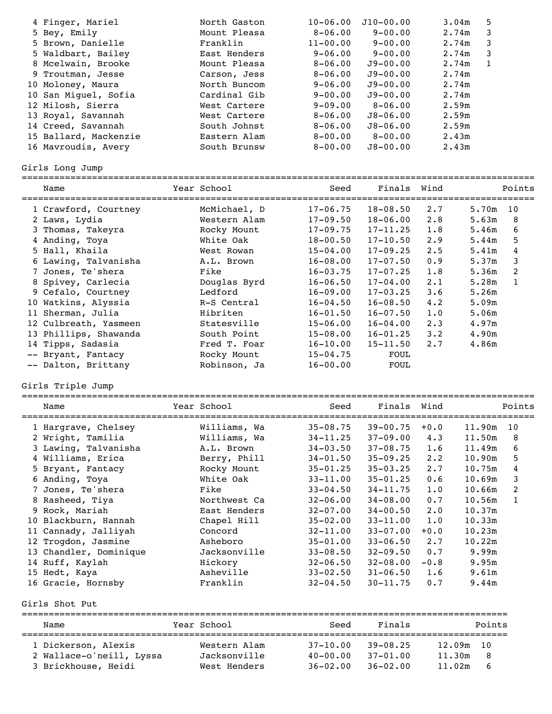| 4 Finger, Mariel      | North Gaston | $10 - 06.00$ | $J10 - 00.00$ | 3.04m | 5            |
|-----------------------|--------------|--------------|---------------|-------|--------------|
| 5 Bey, Emily          | Mount Pleasa | $8 - 06.00$  | $9 - 00.00$   | 2.74m | 3            |
| 5 Brown, Danielle     | Franklin     | $11 - 00.00$ | $9 - 00.00$   | 2.74m | 3            |
| 5 Waldbart, Bailey    | East Henders | $9 - 06.00$  | $9 - 00.00$   | 2.74m | 3            |
| 8 Mcelwain, Brooke    | Mount Pleasa | $8 - 06.00$  | $J9 - 00.00$  | 2.74m | $\mathbf{1}$ |
| 9 Troutman, Jesse     | Carson, Jess | $8 - 06.00$  | $J9 - 00.00$  | 2.74m |              |
| 10 Moloney, Maura     | North Buncom | $9 - 06.00$  | $J9 - 00.00$  | 2.74m |              |
| 10 San Miquel, Sofia  | Cardinal Gib | $9 - 00.00$  | $J9 - 00.00$  | 2.74m |              |
| 12 Milosh, Sierra     | West Cartere | $9 - 09.00$  | $8 - 06.00$   | 2.59m |              |
| 13 Royal, Savannah    | West Cartere | $8 - 06.00$  | $J8 - 06.00$  | 2.59m |              |
| 14 Creed, Savannah    | South Johnst | $8 - 06.00$  | $J8 - 06.00$  | 2.59m |              |
| 15 Ballard, Mackenzie | Eastern Alam | $8 - 00.00$  | $8 - 00.00$   | 2.43m |              |
| 16 Mavroudis, Avery   | South Brunsw | $8 - 00.00$  | $J8 - 00.00$  | 2.43m |              |
|                       |              |              |               |       |              |

Girls Long Jump

| Name                  | Year School  | Seed         | Finals       | Wind        |       | Points |
|-----------------------|--------------|--------------|--------------|-------------|-------|--------|
| 1 Crawford, Courtney  | McMichael, D | $17 - 06.75$ | $18 - 08.50$ | 2.7         | 5.70m | 10     |
| 2 Laws, Lydia         | Western Alam | $17 - 09.50$ | $18 - 06.00$ | 2.8         | 5.63m | 8      |
| 3 Thomas, Takeyra     | Rocky Mount  | $17 - 09.75$ | $17 - 11.25$ | 1.8         | 5.46m | 6      |
| 4 Anding, Toya        | White Oak    | $18 - 00.50$ | $17 - 10.50$ | 2.9         | 5.44m | 5      |
| 5 Hall, Khaila        | West Rowan   | $15 - 04.00$ | $17 - 09.25$ | 2.5         | 5.41m | 4      |
| 6 Lawing, Talvanisha  | A.L. Brown   | $16 - 08.00$ | $17 - 07.50$ | 0.9         | 5.37m | 3      |
| 7 Jones, Te'shera     | Fike         | $16 - 03.75$ | $17 - 07.25$ | 1.8         | 5.36m | 2      |
| 8 Spivey, Carlecia    | Douglas Byrd | $16 - 06.50$ | $17 - 04.00$ | 2.1         | 5.28m | 1      |
| 9 Cefalo, Courtney    | Ledford      | $16 - 09.00$ | $17 - 03.25$ | 3.6         | 5.26m |        |
| 10 Watkins, Alyssia   | R-S Central  | $16 - 04.50$ | $16 - 08.50$ | 4.2         | 5.09m |        |
| 11 Sherman, Julia     | Hibriten     | $16 - 01.50$ | $16 - 07.50$ | 1.0         | 5.06m |        |
| 12 Culbreath, Yasmeen | Statesville  | $15 - 06.00$ | $16 - 04.00$ | $2 \cdot 3$ | 4.97m |        |
| 13 Phillips, Shawanda | South Point  | $15 - 08.00$ | $16 - 01.25$ | $3 \cdot 2$ | 4.90m |        |
| 14 Tipps, Sadasia     | Fred T. Foar | $16 - 10.00$ | $15 - 11.50$ | 2.7         | 4.86m |        |
| -- Bryant, Fantacy    | Rocky Mount  | $15 - 04.75$ | FOUL         |             |       |        |
| -- Dalton, Brittany   | Robinson, Ja | $16 - 00.00$ | FOUL         |             |       |        |
|                       |              |              |              |             |       |        |

Girls Triple Jump

|    | Name                   | Year School  | Seed         | Finals Wind  |             |        | Points       |
|----|------------------------|--------------|--------------|--------------|-------------|--------|--------------|
|    | 1 Hargrave, Chelsey    | Williams, Wa | $35 - 08.75$ | $39 - 00.75$ | $+0.0$      | 11.90m | 10           |
|    | 2 Wright, Tamilia      | Williams, Wa | $34 - 11.25$ | $37 - 09.00$ | 4.3         | 11.50m | 8            |
|    | 3 Lawing, Talvanisha   | A.L. Brown   | $34 - 03.50$ | $37 - 08.75$ | 1.6         | 11.49m | 6            |
|    | 4 Williams, Erica      | Berry, Phill | $34 - 01.50$ | $35 - 09.25$ | $2 \cdot 2$ | 10.90m | 5            |
|    | 5 Bryant, Fantacy      | Rocky Mount  | $35 - 01.25$ | $35 - 03.25$ | 2.7         | 10.75m | 4            |
|    | 6 Anding, Toya         | White Oak    | $33 - 11.00$ | $35 - 01.25$ | 0.6         | 10.69m | 3            |
|    | 7 Jones, Te'shera      | Fike         | $33 - 04.50$ | $34 - 11.75$ | 1.0         | 10.66m | 2            |
|    | 8 Rasheed, Tiya        | Northwest Ca | $32 - 06.00$ | $34 - 08.00$ | 0.7         | 10.56m | $\mathbf{1}$ |
|    | 9 Rock, Mariah         | East Henders | $32 - 07.00$ | $34 - 00.50$ | $2 \cdot 0$ | 10.37m |              |
|    | 10 Blackburn, Hannah   | Chapel Hill  | $35 - 02.00$ | $33 - 11.00$ | 1.0         | 10.33m |              |
|    | 11 Cannady, Jalliyah   | Concord      | $32 - 11.00$ | $33 - 07.00$ | $+0.0$      | 10.23m |              |
|    | 12 Trogdon, Jasmine    | Asheboro     | $35 - 01.00$ | $33 - 06.50$ | 2.7         | 10.22m |              |
|    | 13 Chandler, Dominique | Jacksonville | $33 - 08.50$ | $32 - 09.50$ | 0.7         | 9.99m  |              |
|    | 14 Ruff, Kaylah        | Hickory      | $32 - 06.50$ | $32 - 08.00$ | $-0.8$      | 9.95m  |              |
| 15 | Hedt, Kaya             | Asheville    | $33 - 02.50$ | $31 - 06.50$ | 1.6         | 9.61m  |              |
|    | 16 Gracie, Hornsby     | Franklin     | $32 - 04.50$ | $30 - 11.75$ | 0.7         | 9.44m  |              |
|    |                        |              |              |              |             |        |              |

Girls Shot Put

| Name                     | Year School  | Seed         | Finals       |           | Points |
|--------------------------|--------------|--------------|--------------|-----------|--------|
| 1 Dickerson, Alexis      | Western Alam | $37 - 10.00$ | $39 - 08.25$ | 12.09m 10 |        |
| 2 Wallace-o'neill, Lyssa | Jacksonville | $40 - 00.00$ | $37 - 01.00$ | 11.30m    | - 8    |
| 3 Brickhouse, Heidi      | West Henders | $36 - 02.00$ | $36 - 02.00$ | 11.02m    | -6     |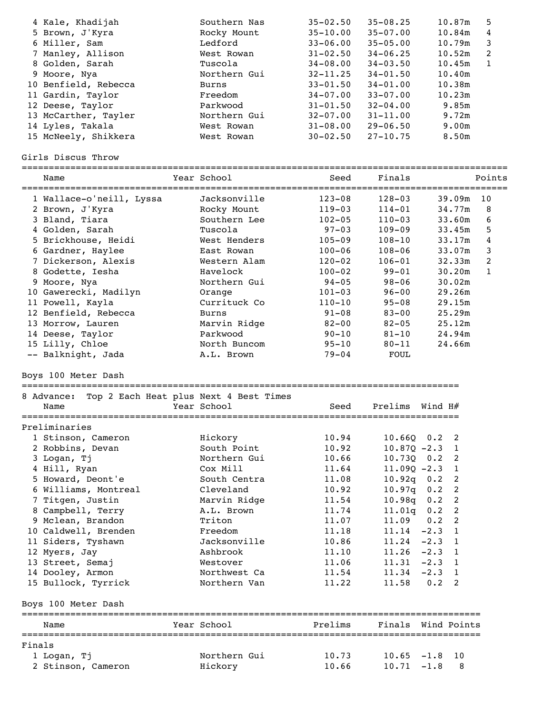| 4 Kale, Khadijah     | Southern Nas | $35 - 02.50$ | $35 - 08.25$ | 10.87m | 5  |
|----------------------|--------------|--------------|--------------|--------|----|
| 5 Brown, J'Kyra      | Rocky Mount  | $35 - 10.00$ | $35 - 07.00$ | 10.84m | 4  |
| 6 Miller, Sam        | Ledford      | $33 - 06.00$ | $35 - 05.00$ | 10.79m | 3  |
| 7 Manley, Allison    | West Rowan   | $31 - 02.50$ | $34 - 06.25$ | 10.52m | -2 |
| 8 Golden, Sarah      | Tuscola      | $34 - 08.00$ | $34 - 03.50$ | 10.45m |    |
| 9 Moore, Nya         | Northern Gui | $32 - 11.25$ | $34 - 01.50$ | 10.40m |    |
| 10 Benfield, Rebecca | Burns        | $33 - 01.50$ | $34 - 01.00$ | 10.38m |    |
| 11 Gardin, Taylor    | Freedom      | $34 - 07.00$ | $33 - 07.00$ | 10.23m |    |
| 12 Deese, Taylor     | Parkwood     | $31 - 01.50$ | $32 - 04.00$ | 9.85m  |    |
| 13 McCarther, Tayler | Northern Gui | $32 - 07.00$ | $31 - 11.00$ | 9.72m  |    |
| 14 Lyles, Takala     | West Rowan   | $31 - 08.00$ | $29 - 06.50$ | 9.00m  |    |
| 15 McNeely, Shikkera | West Rowan   | $30 - 02.50$ | $27 - 10.75$ | 8.50m  |    |
|                      |              |              |              |        |    |

Girls Discus Throw

|        | Name                     | Year School                            | Seed       | Finals         |                        | Points         |
|--------|--------------------------|----------------------------------------|------------|----------------|------------------------|----------------|
|        | 1 Wallace-o'neill, Lyssa | Jacksonville                           | $123 - 08$ | $128 - 03$     | 39.09m                 | 10             |
|        | 2 Brown, J'Kyra          | Rocky Mount                            | $119 - 03$ | $114 - 01$     | 34.77m                 | 8              |
|        | 3 Bland, Tiara           | Southern Lee                           | $102 - 05$ | $110 - 03$     | 33.60m                 | 6              |
|        | 4 Golden, Sarah          | Tuscola                                | $97 - 03$  | 109–09         | 33.45m                 | 5              |
|        | 5 Brickhouse, Heidi      | West Henders                           | $105 - 09$ | $108 - 10$     | 33.17m                 | 4              |
|        | 6 Gardner, Haylee        | East Rowan                             | $100 - 06$ | $108 - 06$     | 33.07m                 | 3              |
|        | 7 Dickerson, Alexis      | Western Alam                           | $120 - 02$ | $106 - 01$     | 32.33m                 | $\overline{c}$ |
|        | 8 Godette, Iesha         | Havelock                               | $100 - 02$ | $99 - 01$      | 30.20m                 | $\mathbf{1}$   |
|        | 9 Moore, Nya             | Northern Gui                           | $94 - 05$  | $98 - 06$      | 30.02m                 |                |
|        | 10 Gawerecki, Madilyn    | Orange                                 | $101 - 03$ | $96 - 00$      | 29.26m                 |                |
|        | 11 Powell, Kayla         | Currituck Co                           | $110 - 10$ | $95 - 08$      | 29.15m                 |                |
|        | 12 Benfield, Rebecca     | <b>Burns</b>                           | $91 - 08$  | $83 - 00$      | 25.29m                 |                |
|        | 13 Morrow, Lauren        | Marvin Ridge                           | $82 - 00$  | $82 - 05$      | 25.12m                 |                |
|        | 14 Deese, Taylor         | Parkwood                               | $90 - 10$  | $81 - 10$      | 24.94m                 |                |
|        | 15 Lilly, Chloe          | North Buncom                           | $95 - 10$  | $80 - 11$      | 24.66m                 |                |
|        | -- Balknight, Jada       | A.L. Brown                             | $79 - 04$  | FOUL           |                        |                |
|        | Boys 100 Meter Dash      |                                        |            |                |                        |                |
|        | 8 Advance:               | Top 2 Each Heat plus Next 4 Best Times |            |                |                        |                |
|        | Name                     | Year School                            | Seed       | Prelims        | Wind H#                |                |
|        | Preliminaries            |                                        |            |                |                        |                |
|        | 1 Stinson, Cameron       | Hickory                                | 10.94      | $10.66Q$ 0.2   | $\overline{2}$         |                |
|        | 2 Robbins, Devan         | South Point                            | 10.92      | $10.87Q - 2.3$ | $\overline{1}$         |                |
|        | 3 Logan, Tj              | Northern Gui                           | 10.66      | 10.730         | $0.2 \quad 2$          |                |
|        | 4 Hill, Ryan             | Cox Mill                               | 11.64      |                | $11.09Q - 2.3$ 1       |                |
|        | 5 Howard, Deont'e        | South Centra                           | 11.08      | $10.92q$ 0.2   | 2                      |                |
|        | 6 Williams, Montreal     | Cleveland                              | 10.92      | 10.97q         | 2<br>0.2               |                |
|        | 7 Titgen, Justin         | Marvin Ridge                           | 11.54      | 10.98q         | 2<br>0.2               |                |
|        | 8 Campbell, Terry        | A.L. Brown                             | 11.74      | 11.01q         | 2<br>0.2               |                |
|        | 9 Mclean, Brandon        | Triton                                 | 11.07      | 11.09          | 2<br>0.2               |                |
|        | 10 Caldwell, Brenden     | Freedom                                | 11.18      | 11.14          | $\mathbf{1}$<br>$-2.3$ |                |
|        | 11 Siders, Tyshawn       | Jacksonville                           | 10.86      | 11.24          | <sup>1</sup><br>$-2.3$ |                |
|        | 12 Myers, Jay            | Ashbrook                               | 11.10      | 11.26          | $-2.3$<br>1            |                |
|        | 13 Street, Semaj         | Westover                               | 11.06      | 11.31          | $-2.3$<br>1            |                |
|        | 14 Dooley, Armon         | Northwest Ca                           | 11.54      | 11.34          | $-2.3$<br>1            |                |
|        | 15 Bullock, Tyrrick      | Northern Van                           | 11.22      | 11.58          | 0.2<br>2               |                |
|        | Boys 100 Meter Dash      |                                        |            |                |                        |                |
|        | Name                     | Year School                            | Prelims    | Finals         | Wind Points            |                |
| Finals |                          |                                        |            |                |                        |                |

| 1 Logan, Tj        | Northern Gui | 10.73 | $10.65 - 1.8$ 10 |  |
|--------------------|--------------|-------|------------------|--|
| 2 Stinson, Cameron | Hickory      | 10.66 | $10.71 - 1.8$ 8  |  |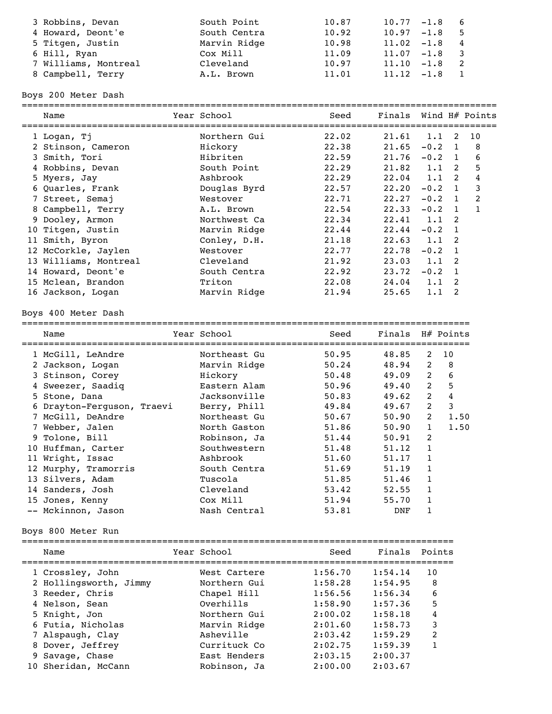| 3 Robbins, Devan     | South Point  | 10.87 | $10.77 - 1.8$ 6 |      |
|----------------------|--------------|-------|-----------------|------|
| 4 Howard, Deont'e    | South Centra | 10.92 | $10.97 - 1.8$   | $-5$ |
| 5 Titgen, Justin     | Marvin Ridge | 10.98 | $11.02 -1.8 4$  |      |
| 6 Hill, Ryan         | Cox Mill     | 11.09 | $11.07 - 1.8$ 3 |      |
| 7 Williams, Montreal | Cleveland    | 10.97 | $11.10 - 1.8$   |      |
| 8 Campbell, Terry    | A.L. Brown   | 11.01 | $11.12 - 1.8$   |      |

Boys 200 Meter Dash

| Name                  | Year School  | Seed  | Finals Wind H# Points |                |                |                |
|-----------------------|--------------|-------|-----------------------|----------------|----------------|----------------|
| 1 Logan, Tj           | Northern Gui | 22.02 | $21.61$ 1.1           |                | 2              | 10             |
| 2 Stinson, Cameron    | Hickory      | 22.38 | $21.65 -0.2 1$        |                |                | 8              |
| 3 Smith, Tori         | Hibriten     | 22.59 | 21.76                 | $-0.2 \quad 1$ |                | 6              |
| 4 Robbins, Devan      | South Point  | 22.29 | 21.82                 | 1.1            | $\mathcal{P}$  | 5              |
| 5 Myers, Jay          | Ashbrook     | 22.29 | $22.04$ 1.1           |                | -2             | 4              |
| 6 Quarles, Frank      | Douglas Byrd | 22.57 | 22.20                 | $-0.2 \quad 1$ |                | 3              |
| 7 Street, Semaj       | Westover     | 22.71 | 22.27                 | $-0.2$         | $\mathbf{1}$   | 2              |
| 8 Campbell, Terry     | A.L. Brown   | 22.54 | 22.33                 | $-0.2 \quad 1$ |                | $\overline{1}$ |
| 9 Dooley, Armon       | Northwest Ca | 22.34 | $22.41$ 1.1           |                | $\overline{2}$ |                |
| 10 Titgen, Justin     | Marvin Ridge | 22.44 | 22.44                 | $-0.2 \quad 1$ |                |                |
| 11 Smith, Byron       | Conley, D.H. | 21.18 | $22.63$ 1.1           |                | -2             |                |
| 12 McCorkle, Jaylen   | Westover     | 22.77 | 22.78                 | $-0.2 \quad 1$ |                |                |
| 13 Williams, Montreal | Cleveland    | 21.92 | $23.03 \quad 1.1$     |                | -2             |                |
| 14 Howard, Deont'e    | South Centra | 22.92 | 23.72                 | $-0.2 \quad 1$ |                |                |
| 15 Mclean, Brandon    | Triton       | 22.08 | $24.04$ 1.1           |                | - 2            |                |
| 16 Jackson, Logan     | Marvin Ridge | 21.94 | 25.65                 | 1.1            | -2             |                |
|                       |              |       |                       |                |                |                |

## Boys 400 Meter Dash

===================================================================================

| Name                       | Year School  | Seed  | Finals |              | H# Points |
|----------------------------|--------------|-------|--------|--------------|-----------|
| 1 McGill, LeAndre          | Northeast Gu | 50.95 | 48.85  | 2            | 10        |
| 2 Jackson, Logan           | Marvin Ridge | 50.24 | 48.94  | 2            | 8         |
| 3 Stinson, Corey           | Hickory      | 50.48 | 49.09  | 2            | 6         |
| 4 Sweezer, Saadiq          | Eastern Alam | 50.96 | 49.40  | 2            | 5         |
| 5 Stone, Dana              | Jacksonville | 50.83 | 49.62  | 2            | 4         |
| 6 Drayton-Ferquson, Traevi | Berry, Phill | 49.84 | 49.67  | 2            | 3         |
| 7 McGill, DeAndre          | Northeast Gu | 50.67 | 50.90  | 2            | 1.50      |
| 7 Webber, Jalen            | North Gaston | 51.86 | 50.90  | $\mathbf{1}$ | 1.50      |
| 9 Tolone, Bill             | Robinson, Ja | 51.44 | 50.91  | 2            |           |
| 10 Huffman, Carter         | Southwestern | 51.48 | 51.12  | 1            |           |
| 11 Wright, Issac           | Ashbrook     | 51.60 | 51.17  | 1            |           |
| 12 Murphy, Tramorris       | South Centra | 51.69 | 51.19  | 1            |           |
| 13 Silvers, Adam           | Tuscola      | 51.85 | 51.46  | $\mathbf{1}$ |           |
| 14 Sanders, Josh           | Cleveland    | 53.42 | 52.55  | 1            |           |
| 15 Jones, Kenny            | Cox Mill     | 51.94 | 55.70  | 1            |           |
| -- Mckinnon, Jason         | Nash Central | 53.81 | DNF    |              |           |

# Boys 800 Meter Run

| Name                   | Year School  | Seed    | Finals  | Points                  |
|------------------------|--------------|---------|---------|-------------------------|
| 1 Crossley, John       | West Cartere | 1:56.70 | 1:54.14 | 10                      |
| 2 Hollingsworth, Jimmy | Northern Gui | 1:58.28 | 1:54.95 | 8                       |
| 3 Reeder, Chris        | Chapel Hill  | 1:56.56 | 1:56.34 | 6                       |
| 4 Nelson, Sean         | Overhills    | 1:58.90 | 1:57.36 | 5                       |
| 5 Knight, Jon          | Northern Gui | 2:00.02 | 1:58.18 | 4                       |
| 6 Futia, Nicholas      | Marvin Ridge | 2:01.60 | 1:58.73 | 3                       |
| 7 Alspaugh, Clay       | Asheville    | 2:03.42 | 1:59.29 | $\overline{\mathbf{c}}$ |
| 8 Dover, Jeffrey       | Currituck Co | 2:02.75 | 1:59.39 |                         |
| 9 Savage, Chase        | East Henders | 2:03.15 | 2:00.37 |                         |
| 10 Sheridan, McCann    | Robinson, Ja | 2:00.00 | 2:03.67 |                         |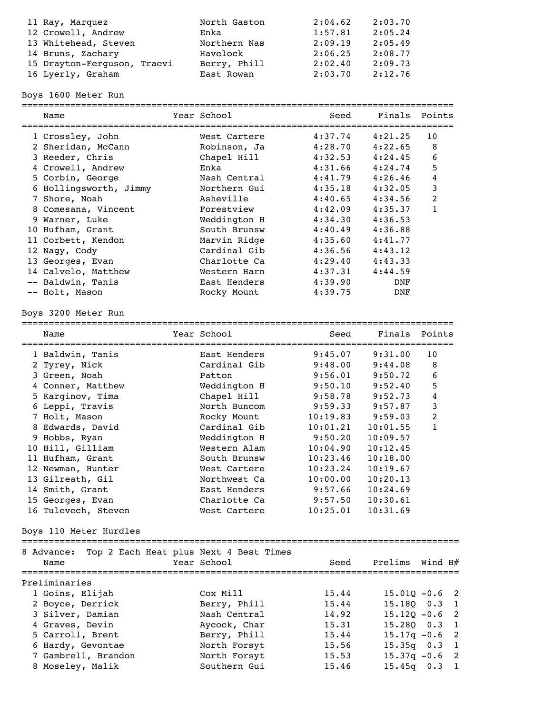| 11 Ray, Marquez             | North Gaston | 2:04.62 | 2:03.70 |
|-----------------------------|--------------|---------|---------|
| 12 Crowell, Andrew          | Enka         | 1:57.81 | 2:05.24 |
| 13 Whitehead, Steven        | Northern Nas | 2:09.19 | 2:05.49 |
| 14 Bruns, Zachary           | Havelock     | 2:06.25 | 2:08.77 |
| 15 Drayton-Ferguson, Traevi | Berry, Phill | 2:02.40 | 2:09.73 |
| 16 Lyerly, Graham           | East Rowan   | 2:03.70 | 2:12.76 |

Boys 1600 Meter Run

| Name                   | Year School  | Seed    | Finals     | Points |
|------------------------|--------------|---------|------------|--------|
| 1 Crossley, John       | West Cartere | 4:37.74 | 4:21.25    | 10     |
| 2 Sheridan, McCann     | Robinson, Ja | 4:28.70 | 4:22.65    | 8      |
| 3 Reeder, Chris        | Chapel Hill  | 4:32.53 | 4:24.45    | 6      |
| 4 Crowell, Andrew      | Enka         | 4:31.66 | 4:24.74    | 5      |
| 5 Corbin, George       | Nash Central | 4:41.79 | 4:26.46    | 4      |
| 6 Hollingsworth, Jimmy | Northern Gui | 4:35.18 | 4:32.05    | 3      |
| 7 Shore, Noah          | Asheville    | 4:40.65 | 4:34.56    | 2      |
| 8 Comesana, Vincent    | Forestview   | 4:42.09 | 4:35.37    |        |
| 9 Warner, Luke         | Weddington H | 4:34.30 | 4:36.53    |        |
| 10 Hufham, Grant       | South Brunsw | 4:40.49 | 4:36.88    |        |
| 11 Corbett, Kendon     | Marvin Ridge | 4:35.60 | 4:41.77    |        |
| 12 Naqy, Cody          | Cardinal Gib | 4:36.56 | 4:43.12    |        |
| 13 Georges, Evan       | Charlotte Ca | 4:29.40 | 4:43.33    |        |
| 14 Calvelo, Matthew    | Western Harn | 4:37.31 | 4:44.59    |        |
| -- Baldwin, Tanis      | East Henders | 4:39.90 | DNF        |        |
| -- Holt, Mason         | Rocky Mount  | 4:39.75 | <b>DNF</b> |        |
|                        |              |         |            |        |

#### Boys 3200 Meter Run

================================================================================

| Name                                              | Year School           | Seed                 | Finals   | Points           |
|---------------------------------------------------|-----------------------|----------------------|----------|------------------|
| 1 Baldwin, Tanis                                  | East Henders          | 9:45.07              | 9:31.00  | 10               |
| 2 Tyrey, Nick                                     | Cardinal Gib          | 9:48.00              | 9:44.08  | 8                |
| 3 Green, Noah                                     | Patton                | 9:56.01              | 9:50.72  | 6                |
| 4 Conner, Matthew                                 | Weddington H          | 9:50.10              | 9:52.40  | 5                |
| 5 Karginov, Tima                                  | Chapel Hill           | 9:58.78              | 9:52.73  | $\overline{4}$   |
| 6 Leppi, Travis                                   | North Buncom          | 9:59.33              | 9:57.87  | $\mathbf{3}$     |
| 7 Holt, Mason                                     | Rocky Mount           | 10:19.83             | 9:59.03  | $\overline{c}$   |
| 8 Edwards, David                                  | Cardinal Gib          | 10:01.21             | 10:01.55 | $\mathbf{1}$     |
| 9 Hobbs, Ryan                                     | Weddington H          | 9:50.20              | 10:09.57 |                  |
| 10 Hill, Gilliam                                  | Western Alam          | 10:04.90             | 10:12.45 |                  |
| 11 Hufham, Grant                                  | South Brunsw          | 10:23.46             | 10:18.00 |                  |
| 12 Newman, Hunter                                 | West Cartere          | 10:23.24             | 10:19.67 |                  |
| 13 Gilreath, Gil                                  | Northwest Ca          | 10:00.00             | 10:20.13 |                  |
| 14 Smith, Grant                                   | East Henders          | 9:57.66              | 10:24.69 |                  |
| 15 Georges, Evan                                  | Charlotte Ca          | 9:57.50              | 10:30.61 |                  |
| 16 Tulevech, Steven                               | West Cartere          | 10:25.01             | 10:31.69 |                  |
| Boys 110 Meter Hurdles                            |                       |                      |          |                  |
| 8 Advance: Top 2 Each Heat plus Next 4 Best Times |                       |                      |          |                  |
| Name                                              | Year School           | Seed                 | Prelims  | Wind H#          |
| Preliminaries                                     | ===================== | ==================== |          |                  |
| 1 Goins, Elijah                                   | Cox Mill              | 15.44                |          | $15.01Q - 0.6$ 2 |
| 2 Boyce, Derrick                                  | Berry, Phill          | 15.44                |          | 15.180 0.3 1     |
| 3 Silver, Damian                                  | Nash Central          | 14.92                |          | $15.120 - 0.6$ 2 |
|                                                   |                       |                      |          |                  |

 4 Graves, Devin Aycock, Char 15.31 15.28Q 0.3 1 5 Carroll, Brent Berry, Phill 15.44 15.17q -0.6 2 6 Hardy, Gevontae North Forsyt 15.56 15.35q 0.3 1 7 Gambrell, Brandon North Forsyt 15.53 15.37q -0.6 2 8 Moseley, Malik Southern Gui 15.46 15.45q 0.3 1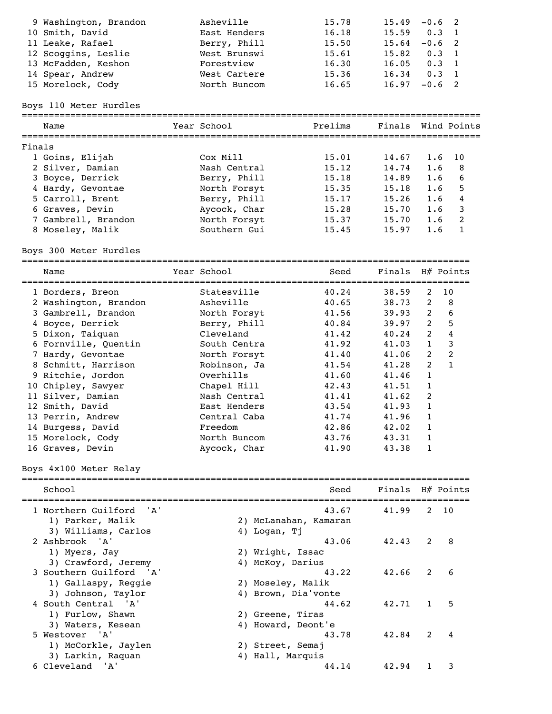| $0.3 \quad 1$ |
|---------------|
| $-0.6$ 2      |
| $0.3 \quad 1$ |
| $0.3 \quad 1$ |
| $0.3 \quad 1$ |
| $-0.6$ 2      |
|               |

# Boys 110 Meter Hurdles

|        | Name                | Year School  | Prelims | Finals Wind Points |     |      |
|--------|---------------------|--------------|---------|--------------------|-----|------|
| Finals |                     |              |         |                    |     |      |
|        | 1 Goins, Elijah     | Cox Mill     | 15.01   | 14.67              | 1.6 | - 10 |
|        | 2 Silver, Damian    | Nash Central | 15.12   | 14.74              | 1.6 | -8   |
|        | 3 Boyce, Derrick    | Berry, Phill | 15.18   | 14.89              | 1.6 | 6    |
|        | 4 Hardy, Gevontae   | North Forsyt | 15.35   | 15.18              | 1.6 | 5    |
|        | 5 Carroll, Brent    | Berry, Phill | 15.17   | 15.26              | 1.6 | 4    |
|        | 6 Graves, Devin     | Aycock, Char | 15.28   | 15.70              | 1.6 | -3   |
|        | 7 Gambrell, Brandon | North Forsyt | 15.37   | 15.70              | 1.6 | -2   |
|        | 8 Moseley, Malik    | Southern Gui | 15.45   | 15.97              | 1.6 |      |
|        |                     |              |         |                    |     |      |

Boys 300 Meter Hurdles ===================================================================================

| Name                  | Year School  | Seed  | Finals H# Points |                |              |
|-----------------------|--------------|-------|------------------|----------------|--------------|
| 1 Borders, Breon      | Statesville  | 40.24 | 38.59            | 2              | 10           |
| 2 Washington, Brandon | Asheville    | 40.65 | 38.73            | 2              | 8            |
| 3 Gambrell, Brandon   | North Forsyt | 41.56 | 39.93            | $2^{\circ}$    | 6            |
| 4 Boyce, Derrick      | Berry, Phill | 40.84 | 39.97            | $\overline{2}$ | 5            |
| 5 Dixon, Taiquan      | Cleveland    | 41.42 | 40.24            | $\overline{2}$ | 4            |
| 6 Fornville, Quentin  | South Centra | 41.92 | 41.03            | $\mathbf{1}$   | 3            |
| 7 Hardy, Gevontae     | North Forsyt | 41.40 | 41.06            | 2              | 2            |
| 8 Schmitt, Harrison   | Robinson, Ja | 41.54 | 41.28            | $\overline{2}$ | $\mathbf{1}$ |
| 9 Ritchie, Jordon     | Overhills    | 41.60 | 41.46            | $\mathbf{1}$   |              |
| 10 Chipley, Sawyer    | Chapel Hill  | 42.43 | 41.51            | $\mathbf{1}$   |              |
| 11 Silver, Damian     | Nash Central | 41.41 | 41.62            | 2              |              |
| 12 Smith, David       | East Henders | 43.54 | 41.93            | $\mathbf{1}$   |              |
| 13 Perrin, Andrew     | Central Caba | 41.74 | 41.96            | $\mathbf{1}$   |              |
| 14 Burgess, David     | Freedom      | 42.86 | 42.02            | $\mathbf{1}$   |              |
| 15 Morelock, Cody     | North Buncom | 43.76 | 43.31            | $\mathbf{1}$   |              |
| 16 Graves, Devin      | Aycock, Char | 41.90 | 43.38            |                |              |

# Boys 4x100 Meter Relay

| School                           | Seed                  |       |               | Finals H# Points |
|----------------------------------|-----------------------|-------|---------------|------------------|
| 1 Northern Guilford<br><b>A'</b> | 43.67                 | 41.99 | $\mathcal{P}$ | 10               |
| 1) Parker, Malik                 | 2) McLanahan, Kamaran |       |               |                  |
| 3) Williams, Carlos              | 4) Logan, Ti          |       |               |                  |
| 2 Ashbrook 'A'                   | 43.06                 | 42.43 | $\mathcal{L}$ | 8                |
| 1) Myers, Jay                    | 2) Wright, Issac      |       |               |                  |
| 3) Crawford, Jeremy              | 4) McKoy, Darius      |       |               |                  |
| 3 Southern Guilford 'A'          | 43.22                 | 42.66 | $\mathcal{P}$ | 6                |
| 1) Gallaspy, Reggie              | 2) Moseley, Malik     |       |               |                  |
| 3) Johnson, Taylor               | 4) Brown, Dia'vonte   |       |               |                  |
| 4 South Central 'A'              | 44.62                 | 42.71 |               | 5                |
| 1) Furlow, Shawn                 | 2) Greene, Tiras      |       |               |                  |
| 3) Waters, Kesean                | 4) Howard, Deont'e    |       |               |                  |
| 5 Westover 'A'                   | 43.78                 | 42.84 | $\mathcal{P}$ |                  |
| 1) McCorkle, Jaylen              | 2) Street, Semaj      |       |               |                  |
| 3) Larkin, Raquan                | 4) Hall, Marquis      |       |               |                  |
| 6 Cleveland 'A'                  | 44.14                 | 42.94 |               |                  |
|                                  |                       |       |               |                  |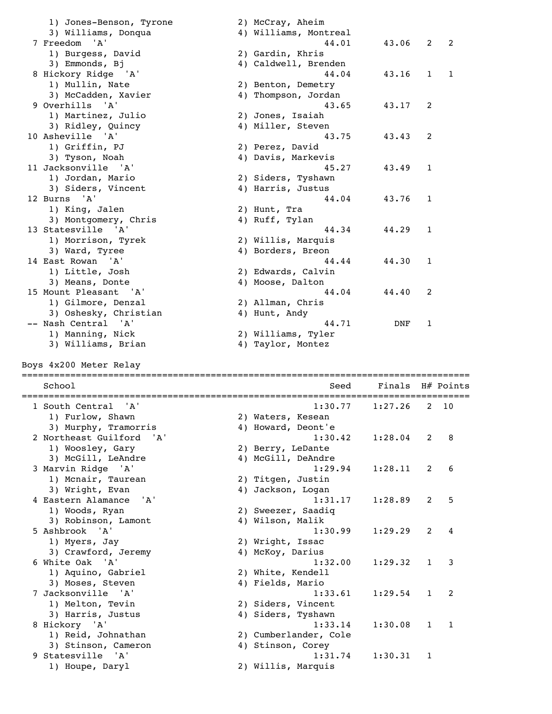| 1) Jones-Benson, Tyrone<br>3) Williams, Donqua | 2) McCray, Aheim<br>4) Williams, Montreal |         |              |           |
|------------------------------------------------|-------------------------------------------|---------|--------------|-----------|
| 7 Freedom 'A'<br>1) Burgess, David             | 44.01<br>2) Gardin, Khris                 | 43.06   | 2            | 2         |
| 3) Emmonds, Bj                                 | 4) Caldwell, Brenden                      |         |              |           |
| 8 Hickory Ridge 'A'                            | 44.04                                     | 43.16   | $\mathbf{1}$ | 1         |
| 1) Mullin, Nate                                | 2) Benton, Demetry                        |         |              |           |
| 3) McCadden, Xavier                            | 4) Thompson, Jordan                       |         |              |           |
| 9 Overhills<br>'A'                             | 43.65                                     | 43.17   | 2            |           |
| 1) Martinez, Julio<br>3) Ridley, Quincy        | 2) Jones, Isaiah<br>4) Miller, Steven     |         |              |           |
| 10 Asheville 'A'                               | 43.75                                     | 43.43   | 2            |           |
| 1) Griffin, PJ                                 | 2) Perez, David                           |         |              |           |
| 3) Tyson, Noah                                 | 4) Davis, Markevis                        |         |              |           |
| 11 Jacksonville 'A'                            | 45.27                                     | 43.49   | 1            |           |
| 1) Jordan, Mario                               | 2) Siders, Tyshawn                        |         |              |           |
| 3) Siders, Vincent                             | 4) Harris, Justus                         |         |              |           |
| 12 Burns 'A'<br>1) King, Jalen                 | 44.04<br>2) Hunt, Tra                     | 43.76   | 1            |           |
| 3) Montgomery, Chris                           | 4) Ruff, Tylan                            |         |              |           |
| 13 Statesville 'A'                             | 44.34                                     | 44.29   | 1            |           |
| 1) Morrison, Tyrek                             | 2) Willis, Marquis                        |         |              |           |
| 3) Ward, Tyree                                 | 4) Borders, Breon                         |         |              |           |
| 14 East Rowan 'A'                              | 44.44                                     | 44.30   | 1            |           |
| 1) Little, Josh                                | 2) Edwards, Calvin                        |         |              |           |
| 3) Means, Donte                                | 4) Moose, Dalton                          |         |              |           |
| 15 Mount Pleasant 'A'                          | 44.04                                     | 44.40   | 2            |           |
| 1) Gilmore, Denzal<br>3) Oshesky, Christian    | 2) Allman, Chris<br>4) Hunt, Andy         |         |              |           |
| -- Nash Central 'A'                            | 44.71                                     | DNF     | 1            |           |
| 1) Manning, Nick                               | 2) Williams, Tyler                        |         |              |           |
|                                                | 4) Taylor, Montez                         |         |              |           |
| 3) Williams, Brian                             |                                           |         |              |           |
| Boys 4x200 Meter Relay                         |                                           |         |              |           |
| School                                         | Seed                                      | Finals  |              | H# Points |
| 1 South Central<br>' A '                       | 1:30.77                                   | 1:27.26 | 2            | 10        |
| 1) Furlow, Shawn                               | 2) Waters, Kesean                         |         |              |           |
| 3) Murphy, Tramorris                           | 4) Howard, Deont'e                        |         |              |           |
| 2 Northeast Guilford<br>' A '                  | 1:30.42                                   | 1:28.04 | 2            | 8         |
| 1) Woosley, Gary                               | 2) Berry, LeDante                         |         |              |           |
| 3) McGill, LeAndre                             | 4) McGill, DeAndre                        |         |              |           |
| 3 Marvin Ridge 'A'                             | 1:29.94                                   | 1:28.11 | 2            | 6         |
| 1) Mcnair, Taurean                             | 2) Titgen, Justin                         |         |              |           |
| 3) Wright, Evan<br>4 Eastern Alamance<br>'A'   | 4) Jackson, Logan<br>1:31.17              | 1:28.89 | 2            | 5         |
| 1) Woods, Ryan                                 | 2) Sweezer, Saadiq                        |         |              |           |
| 3) Robinson, Lamont                            | 4) Wilson, Malik                          |         |              |           |
| 5 Ashbrook 'A'                                 | 1:30.99                                   | 1:29.29 | 2            | 4         |
| 1) Myers, Jay                                  | 2) Wright, Issac                          |         |              |           |
| 3) Crawford, Jeremy                            | 4) McKoy, Darius                          |         |              |           |
| 6 White Oak<br>'A'                             | 1:32.00                                   | 1:29.32 | 1            | 3         |
| 1) Aquino, Gabriel                             | 2) White, Kendell                         |         |              |           |
| 3) Moses, Steven<br>7 Jacksonville 'A'         | 4) Fields, Mario                          | 1:29.54 | $\mathbf{1}$ | 2         |
| 1) Melton, Tevin                               | 1:33.61<br>2) Siders, Vincent             |         |              |           |
| 3) Harris, Justus                              | 4) Siders, Tyshawn                        |         |              |           |
| 8 Hickory 'A'                                  | 1:33.14                                   | 1:30.08 | 1            | 1         |
| 1) Reid, Johnathan                             | 2) Cumberlander, Cole                     |         |              |           |
| 3) Stinson, Cameron                            | 4) Stinson, Corey                         |         |              |           |
| 9 Statesville<br>'A'<br>1) Houpe, Daryl        | 1:31.74<br>2) Willis, Marquis             | 1:30.31 | 1            |           |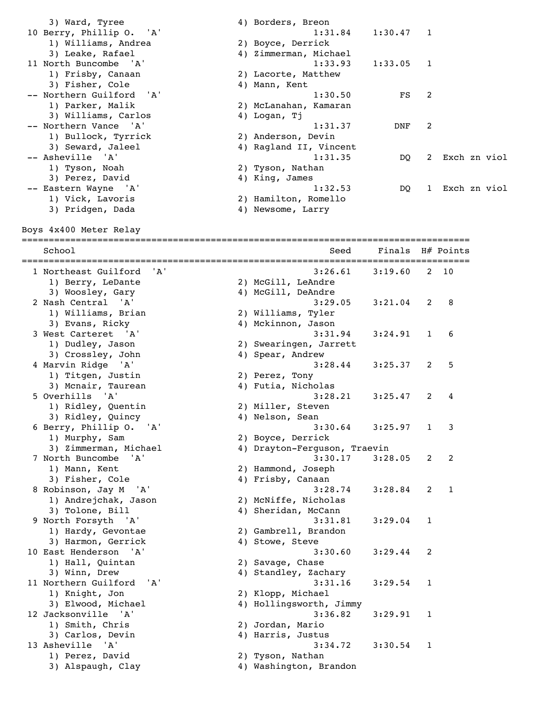| 3) Ward, Tyree                | 4) Borders, Breon            |         |              |                |              |
|-------------------------------|------------------------------|---------|--------------|----------------|--------------|
| 10 Berry, Phillip O.<br>' A ' | 1:31.84                      | 1:30.47 | 1            |                |              |
| 1) Williams, Andrea           | 2) Boyce, Derrick            |         |              |                |              |
| 3) Leake, Rafael              | 4) Zimmerman, Michael        |         |              |                |              |
|                               |                              |         |              |                |              |
| 11 North Buncombe 'A'         | 1:33.93                      | 1:33.05 | 1            |                |              |
| 1) Frisby, Canaan             | 2) Lacorte, Matthew          |         |              |                |              |
| 3) Fisher, Cole               | 4) Mann, Kent                |         |              |                |              |
| -- Northern Guilford<br>' A ' | 1:30.50                      | FS      | 2            |                |              |
| 1) Parker, Malik              | 2) McLanahan, Kamaran        |         |              |                |              |
| 3) Williams, Carlos           | 4) Logan, Tj                 |         |              |                |              |
| -- Northern Vance 'A'         | 1:31.37                      | DNF     | 2            |                |              |
| 1) Bullock, Tyrrick           | 2) Anderson, Devin           |         |              |                |              |
| 3) Seward, Jaleel             | 4) Ragland II, Vincent       |         |              |                |              |
| -- Asheville<br>' A'          | 1:31.35                      |         |              |                |              |
|                               |                              | DQ      | 2            |                | Exch zn viol |
| 1) Tyson, Noah                | 2) Tyson, Nathan             |         |              |                |              |
| 3) Perez, David               | 4) King, James               |         |              |                |              |
| -- Eastern Wayne 'A'          | 1:32.53                      | DQ      | $\mathbf{1}$ |                | Exch zn viol |
| 1) Vick, Lavoris              | 2) Hamilton, Romello         |         |              |                |              |
| 3) Pridgen, Dada              | 4) Newsome, Larry            |         |              |                |              |
|                               |                              |         |              |                |              |
| Boys 4x400 Meter Relay        |                              |         |              |                |              |
|                               |                              |         |              |                |              |
| School                        | Seed                         | Finals  |              | H# Points      |              |
|                               |                              |         |              |                |              |
| 1 Northeast Guilford<br>'A'   |                              |         |              | 10             |              |
|                               | 3:26.61                      | 3:19.60 | 2            |                |              |
| 1) Berry, LeDante             | 2) McGill, LeAndre           |         |              |                |              |
| 3) Woosley, Gary              | 4) McGill, DeAndre           |         |              |                |              |
| 2 Nash Central 'A'            | 3:29.05                      | 3:21.04 | 2            | 8              |              |
| 1) Williams, Brian            | 2) Williams, Tyler           |         |              |                |              |
| 3) Evans, Ricky               | 4) Mckinnon, Jason           |         |              |                |              |
| 3 West Carteret 'A'           | 3:31.94                      | 3:24.91 | 1            | 6              |              |
| 1) Dudley, Jason              | 2) Swearingen, Jarrett       |         |              |                |              |
| 3) Crossley, John             | 4) Spear, Andrew             |         |              |                |              |
|                               |                              |         |              |                |              |
| 4 Marvin Ridge 'A'            | 3:28.44                      | 3:25.37 | 2            | 5              |              |
| 1) Titgen, Justin             | 2) Perez, Tony               |         |              |                |              |
| 3) Mcnair, Taurean            | 4) Futia, Nicholas           |         |              |                |              |
| 5 Overhills<br>' A '          | 3:28.21                      | 3:25.47 | 2            | 4              |              |
| 1) Ridley, Quentin            | 2) Miller, Steven            |         |              |                |              |
| 3) Ridley, Quincy             | 4) Nelson, Sean              |         |              |                |              |
| 6 Berry, Phillip O. 'A'       | 3:30.64                      | 3:25.97 | $\mathbf{1}$ | 3              |              |
| 1) Murphy, Sam                | 2) Boyce, Derrick            |         |              |                |              |
| 3) Zimmerman, Michael         | 4) Drayton-Ferguson, Traevin |         |              |                |              |
|                               | 3:30.17                      |         |              |                |              |
| 7 North Buncombe<br>'A'       |                              | 3:28.05 | 2            | $\overline{c}$ |              |
| 1) Mann, Kent                 | 2) Hammond, Joseph           |         |              |                |              |
| 3) Fisher, Cole               | 4) Frisby, Canaan            |         |              |                |              |
| 8 Robinson, Jay M 'A'         | 3:28.74                      | 3:28.84 | 2            | $\mathbf{1}$   |              |
| 1) Andrejchak, Jason          | 2) McNiffe, Nicholas         |         |              |                |              |
| 3) Tolone, Bill               | 4) Sheridan, McCann          |         |              |                |              |
| 9 North Forsyth 'A'           | 3:31.81                      | 3:29.04 | 1            |                |              |
| 1) Hardy, Gevontae            | 2) Gambrell, Brandon         |         |              |                |              |
| 3) Harmon, Gerrick            | 4) Stowe, Steve              |         |              |                |              |
|                               |                              |         |              |                |              |
| 10 East Henderson 'A'         | 3:30.60                      | 3:29.44 | 2            |                |              |
| 1) Hall, Quintan              | 2) Savage, Chase             |         |              |                |              |
| 3) Winn, Drew                 | 4) Standley, Zachary         |         |              |                |              |
| 11 Northern Guilford 'A'      | 3:31.16                      | 3:29.54 | 1            |                |              |
| 1) Knight, Jon                | 2) Klopp, Michael            |         |              |                |              |
| 3) Elwood, Michael            | 4) Hollingsworth, Jimmy      |         |              |                |              |
| 12 Jacksonville 'A'           | 3:36.82                      | 3:29.91 | 1            |                |              |
| 1) Smith, Chris               | 2) Jordan, Mario             |         |              |                |              |
|                               |                              |         |              |                |              |
| 3) Carlos, Devin              | 4) Harris, Justus            |         |              |                |              |
| 13 Asheville 'A'              | 3:34.72                      | 3:30.54 | 1            |                |              |
| 1) Perez, David               | 2) Tyson, Nathan             |         |              |                |              |
| 3) Alspaugh, Clay             | 4) Washington, Brandon       |         |              |                |              |
|                               |                              |         |              |                |              |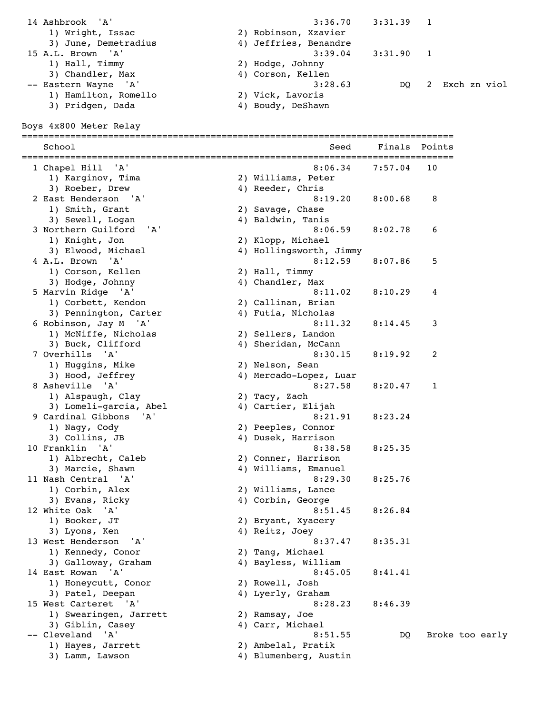| 14 Ashbrook 'A'      | $3:36.70$ $3:31.39$ 1 |    |   |              |
|----------------------|-----------------------|----|---|--------------|
| 1) Wright, Issac     | 2) Robinson, Xzavier  |    |   |              |
| 3) June, Demetradius | 4) Jeffries, Benandre |    |   |              |
| 15 A.L. Brown 'A'    | $3:39.04$ $3:31.90$ 1 |    |   |              |
| 1) Hall, Timmy       | 2) Hodge, Johnny      |    |   |              |
| 3) Chandler, Max     | 4) Corson, Kellen     |    |   |              |
| -- Eastern Wayne 'A' | 3:28.63               | DO | 2 | Exch zn viol |
| 1) Hamilton, Romello | 2) Vick, Lavoris      |    |   |              |
| 3) Pridgen, Dada     | 4) Boudy, DeShawn     |    |   |              |

Boys 4x800 Meter Relay

| School<br>================<br>============================ | Seed<br>============================ | Finals  | Points          |
|------------------------------------------------------------|--------------------------------------|---------|-----------------|
| 1 Chapel Hill<br>' A '                                     | 8:06.34                              | 7:57.04 | 10              |
| 1) Karginov, Tima                                          | 2) Williams, Peter                   |         |                 |
| 3) Roeber, Drew                                            | 4) Reeder, Chris                     |         |                 |
| 2 East Henderson 'A'                                       | 8:19.20                              | 8:00.68 | 8               |
| 1) Smith, Grant                                            | 2) Savage, Chase                     |         |                 |
| 3) Sewell, Logan                                           | 4) Baldwin, Tanis                    |         |                 |
| 3 Northern Guilford<br>'A'                                 | 8:06.59                              | 8:02.78 | 6               |
| 1) Knight, Jon                                             | 2) Klopp, Michael                    |         |                 |
| 3) Elwood, Michael                                         | 4) Hollingsworth, Jimmy              |         |                 |
| 4 A.L. Brown<br>'A'                                        | 8:12.59                              | 8:07.86 | 5               |
| 1) Corson, Kellen                                          | 2) Hall, Timmy                       |         |                 |
| 3) Hodge, Johnny                                           | 4) Chandler, Max                     |         |                 |
| 5 Marvin Ridge 'A'                                         | 8:11.02                              | 8:10.29 | 4               |
| 1) Corbett, Kendon                                         | 2) Callinan, Brian                   |         |                 |
| 3) Pennington, Carter                                      | 4) Futia, Nicholas                   |         |                 |
| 6 Robinson, Jay M 'A'                                      | 8:11.32                              | 8:14.45 | 3               |
| 1) McNiffe, Nicholas                                       | 2) Sellers, Landon                   |         |                 |
| 3) Buck, Clifford                                          | 4) Sheridan, McCann                  |         |                 |
| 7 Overhills 'A'                                            | 8:30.15                              | 8:19.92 | 2               |
|                                                            |                                      |         |                 |
| 1) Huggins, Mike                                           | 2) Nelson, Sean                      |         |                 |
| 3) Hood, Jeffrey                                           | 4) Mercado-Lopez, Luar               |         |                 |
| 8 Asheville 'A'                                            | 8:27.58                              | 8:20.47 | 1               |
| 1) Alspaugh, Clay                                          | 2) Tacy, Zach                        |         |                 |
| 3) Lomeli-garcia, Abel                                     | 4) Cartier, Elijah                   |         |                 |
| 9 Cardinal Gibbons<br>'A'                                  | 8:21.91                              | 8:23.24 |                 |
| 1) Nagy, Cody                                              | 2) Peeples, Connor                   |         |                 |
| 3) Collins, JB                                             | 4) Dusek, Harrison                   |         |                 |
| 10 Franklin<br>'A'                                         | 8:38.58                              | 8:25.35 |                 |
| 1) Albrecht, Caleb                                         | 2) Conner, Harrison                  |         |                 |
| 3) Marcie, Shawn                                           | 4) Williams, Emanuel                 |         |                 |
| 11 Nash Central 'A'                                        | 8:29.30                              | 8:25.76 |                 |
| 1) Corbin, Alex                                            | 2) Williams, Lance                   |         |                 |
| 3) Evans, Ricky                                            | 4) Corbin, George                    |         |                 |
| 12 White Oak<br>'' A '                                     | 8:51.45                              | 8:26.84 |                 |
| 1) Booker, JT                                              | 2) Bryant, Xyacery                   |         |                 |
| 3) Lyons, Ken                                              | 4) Reitz, Joey                       |         |                 |
| 13 West Henderson<br>' A '                                 | 8:37.47                              | 8:35.31 |                 |
| 1) Kennedy, Conor                                          | 2) Tang, Michael                     |         |                 |
| 3) Galloway, Graham                                        | 4) Bayless, William                  |         |                 |
| 14 East Rowan<br>'A'                                       | 8:45.05                              | 8:41.41 |                 |
| 1) Honeycutt, Conor                                        | 2) Rowell, Josh                      |         |                 |
| 3) Patel, Deepan                                           | 4) Lyerly, Graham                    |         |                 |
| 15 West Carteret 'A'                                       | 8:28.23                              | 8:46.39 |                 |
| 1) Swearingen, Jarrett                                     | 2) Ramsay, Joe                       |         |                 |
| 3) Giblin, Casey                                           | 4) Carr, Michael                     |         |                 |
| -- Cleveland 'A'                                           | 8:51.55                              |         |                 |
|                                                            |                                      | DQ      | Broke too early |
| 1) Hayes, Jarrett                                          | 2) Ambelal, Pratik                   |         |                 |
| 3) Lamm, Lawson                                            | 4) Blumenberg, Austin                |         |                 |
|                                                            |                                      |         |                 |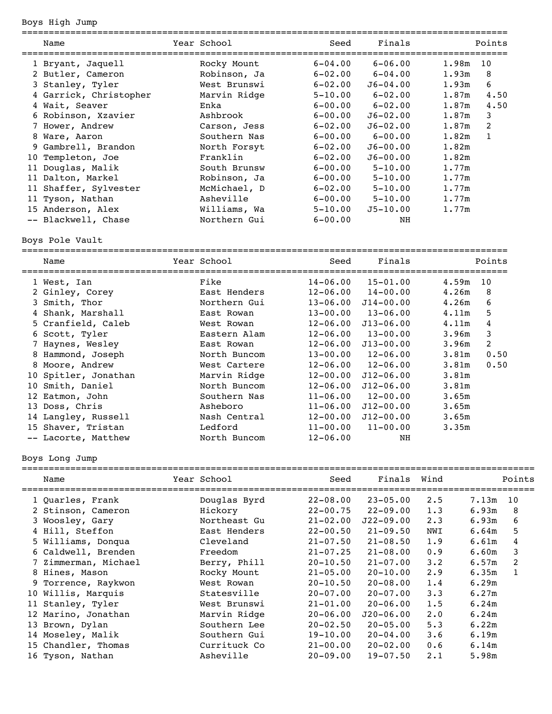Boys High Jump

|    | Name                   | Year School  | Seed<br>============================ | Finals       |       | Points |
|----|------------------------|--------------|--------------------------------------|--------------|-------|--------|
|    | 1 Bryant, Jaquell      | Rocky Mount  | $6 - 04.00$                          | $6 - 06.00$  | 1.98m | 10     |
|    | 2 Butler, Cameron      | Robinson, Ja | $6 - 02.00$                          | $6-04.00$    | 1.93m | 8      |
|    | 3 Stanley, Tyler       | West Brunswi | $6 - 02.00$                          | $J6 - 04.00$ | 1.93m | 6      |
|    | 4 Garrick, Christopher | Marvin Ridge | $5 - 10.00$                          | $6 - 02.00$  | 1.87m | 4.50   |
|    | 4 Wait, Seaver         | Enka         | $6 - 00.00$                          | $6 - 02.00$  | 1.87m | 4.50   |
|    | 6 Robinson, Xzavier    | Ashbrook     | $6 - 00.00$                          | $J6 - 02.00$ | 1.87m | 3      |
|    | 7 Hower, Andrew        | Carson, Jess | $6 - 02.00$                          | $J6 - 02.00$ | 1.87m | 2      |
|    | 8 Ware, Aaron          | Southern Nas | $6 - 00.00$                          | $6-00.00$    | 1.82m | 1      |
|    | 9 Gambrell, Brandon    | North Forsyt | $6 - 02.00$                          | $J6 - 00.00$ | 1.82m |        |
| 10 | Templeton, Joe         | Franklin     | $6 - 02.00$                          | $J6 - 00.00$ | 1.82m |        |
| 11 | Douglas, Malik         | South Brunsw | $6 - 00.00$                          | $5 - 10.00$  | 1.77m |        |
|    | 11 Dalton, Markel      | Robinson, Ja | $6 - 00.00$                          | $5 - 10.00$  | 1.77m |        |
|    | 11 Shaffer, Sylvester  | McMichael, D | $6 - 02.00$                          | $5 - 10.00$  | 1.77m |        |
|    | 11 Tyson, Nathan       | Asheville    | $6 - 00.00$                          | $5 - 10.00$  | 1.77m |        |
|    | 15 Anderson, Alex      | Williams, Wa | $5 - 10.00$                          | $J5 - 10.00$ | 1.77m |        |
|    | -- Blackwell, Chase    | Northern Gui | $6 - 00.00$                          | NH           |       |        |

Boys Pole Vault

|    | Name                 | Year School  | Seed<br>========================= | Finals                |                   | Points |
|----|----------------------|--------------|-----------------------------------|-----------------------|-------------------|--------|
|    | 1 West, Ian          | Fike         | $14 - 06.00$                      | 15-01.00              | 4.59m             | 10     |
|    | 2 Ginley, Corey      | East Henders | $12 - 06.00$                      | $14 - 00.00$          | 4.26m             | 8      |
|    | 3 Smith, Thor        | Northern Gui | $13 - 06.00$                      | $J14 - 00.00$         | 4.26m             | 6      |
|    | 4 Shank, Marshall    | East Rowan   | $13 - 00.00$                      | $13 - 06.00$          | 4.11m             | 5      |
|    | 5 Cranfield, Caleb   | West Rowan   | $12 - 06.00$                      | $J13 - 06.00$         | 4.11m             | 4      |
|    | 6 Scott, Tyler       | Eastern Alam | $12 - 06.00$                      | $13 - 00.00$          | 3.96m             | 3      |
|    | 7 Haynes, Wesley     | East Rowan   | $12 - 06.00$                      | $J13 - 00.00$         | 3.96m             | 2      |
|    | 8 Hammond, Joseph    | North Buncom | $13 - 00.00$                      | $12 - 06.00$          | 3.81 <sub>m</sub> | 0.50   |
|    | 8 Moore, Andrew      | West Cartere | $12 - 06.00$                      | $12 - 06.00$          | 3.81 <sub>m</sub> | 0.50   |
|    | 10 Spitler, Jonathan | Marvin Ridge | $12 - 00.00$                      | $J12 - 06.00$         | 3.81m             |        |
| 10 | Smith, Daniel        | North Buncom | $12 - 06.00$                      | $J12 - 06.00$         | 3.81 <sub>m</sub> |        |
|    | 12 Eatmon, John      | Southern Nas | $11 - 06.00$                      | $12 - 00.00$          | 3.65m             |        |
|    | 13 Doss, Chris       | Asheboro     | $11 - 06.00$                      | $J12 - 00.00$         | 3.65m             |        |
|    | 14 Langley, Russell  | Nash Central | $12 - 00.00$                      | $J12 - 00.00$         | 3.65m             |        |
|    | 15 Shaver, Tristan   | Ledford      |                                   | $11-00.00$ $11-00.00$ | 3.35m             |        |
|    | -- Lacorte, Matthew  | North Buncom | $12 - 06.00$                      | NH                    |                   |        |

Boys Long Jump

|  | Name                 | Year School  | Seed         | Finals Wind   |             |       | Points |
|--|----------------------|--------------|--------------|---------------|-------------|-------|--------|
|  | 1 Quarles, Frank     | Douglas Byrd | $22 - 08.00$ | $23 - 05.00$  | 2.5         | 7.13m | 10     |
|  | 2 Stinson, Cameron   | Hickory      | $22 - 00.75$ | $22 - 09.00$  | 1.3         | 6.93m | 8      |
|  | 3 Woosley, Gary      | Northeast Gu | $21 - 02.00$ | $J22 - 09.00$ | $2 \cdot 3$ | 6.93m | 6      |
|  | 4 Hill, Steffon      | East Henders | $22 - 00.50$ | $21 - 09.50$  | NWI         | 6.64m | 5      |
|  | 5 Williams, Donqua   | Cleveland    | $21 - 07.50$ | $21 - 08.50$  | 1.9         | 6.61m | 4      |
|  | 6 Caldwell, Brenden  | Freedom      | $21 - 07.25$ | $21 - 08.00$  | 0.9         | 6.60m | 3      |
|  | 7 Zimmerman, Michael | Berry, Phill | $20 - 10.50$ | $21 - 07.00$  | $3 \cdot 2$ | 6.57m | 2      |
|  | 8 Hines, Mason       | Rocky Mount  | $21 - 05.00$ | $20 - 10.00$  | 2.9         | 6.35m |        |
|  | 9 Torrence, Raykwon  | West Rowan   | $20 - 10.50$ | $20 - 08.00$  | 1.4         | 6.29m |        |
|  | 10 Willis, Marquis   | Statesville  | $20 - 07.00$ | $20 - 07.00$  | 3.3         | 6.27m |        |
|  | 11 Stanley, Tyler    | West Brunswi | $21 - 01.00$ | $20 - 06.00$  | 1.5         | 6.24m |        |
|  | 12 Marino, Jonathan  | Marvin Ridge | $20 - 06.00$ | $J20-06.00$   | $2 \cdot 0$ | 6.24m |        |
|  | 13 Brown, Dylan      | Southern Lee | $20 - 02.50$ | $20 - 05.00$  | 5.3         | 6.22m |        |
|  | 14 Moseley, Malik    | Southern Gui | $19 - 10.00$ | $20 - 04.00$  | 3.6         | 6.19m |        |
|  | 15 Chandler, Thomas  | Currituck Co | $21 - 00.00$ | $20 - 02.00$  | 0.6         | 6.14m |        |
|  | 16 Tyson, Nathan     | Asheville    | $20 - 09.00$ | $19 - 07.50$  | 2.1         | 5.98m |        |
|  |                      |              |              |               |             |       |        |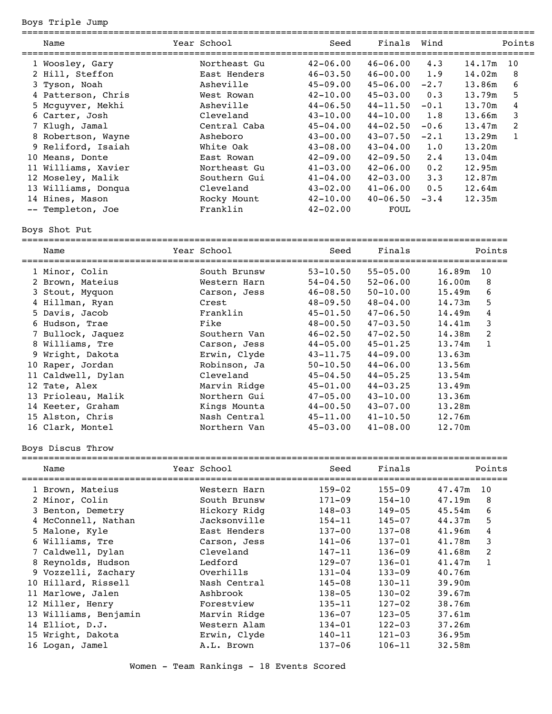Boys Triple Jump

| Name                | Year School  | Seed         | Finals       | Wind        |        | Points |
|---------------------|--------------|--------------|--------------|-------------|--------|--------|
| 1 Woosley, Gary     | Northeast Gu | $42 - 06.00$ | $46 - 06.00$ | 4.3         | 14.17m | 10     |
| 2 Hill, Steffon     | East Henders | $46 - 03.50$ | $46 - 00.00$ | 1.9         | 14.02m | 8      |
| 3 Tyson, Noah       | Asheville    | $45 - 09.00$ | $45 - 06.00$ | $-2.7$      | 13.86m | 6      |
| 4 Patterson, Chris  | West Rowan   | $42 - 10.00$ | $45 - 03.00$ | 0.3         | 13.79m | 5      |
| 5 Mcguyver, Mekhi   | Asheville    | $44 - 06.50$ | $44 - 11.50$ | $-0.1$      | 13.70m | 4      |
| 6 Carter, Josh      | Cleveland    | $43 - 10.00$ | $44 - 10.00$ | 1.8         | 13.66m | 3      |
| 7 Klugh, Jamal      | Central Caba | 45-04.00     | $44 - 02.50$ | $-0.6$      | 13.47m | 2      |
| 8 Robertson, Wayne  | Asheboro     | $43 - 00.00$ | $43 - 07.50$ | $-2.1$      | 13.29m | 1      |
| 9 Reliford, Isaiah  | White Oak    | $43 - 08.00$ | $43 - 04.00$ | 1.0         | 13.20m |        |
| 10 Means, Donte     | East Rowan   | $42 - 09.00$ | $42 - 09.50$ | 2.4         | 13.04m |        |
| 11 Williams, Xavier | Northeast Gu | $41 - 03.00$ | $42 - 06.00$ | 0.2         | 12.95m |        |
| 12 Moseley, Malik   | Southern Gui | $41 - 04.00$ | $42 - 03.00$ | $3 \cdot 3$ | 12.87m |        |
| 13 Williams, Donqua | Cleveland    | $43 - 02.00$ | $41 - 06.00$ | 0.5         | 12.64m |        |
| 14 Hines, Mason     | Rocky Mount  | $42 - 10.00$ | $40 - 06.50$ | $-3.4$      | 12.35m |        |
| -- Templeton, Joe   | Franklin     | $42 - 02.00$ | FOUL         |             |        |        |
|                     |              |              |              |             |        |        |

Boys Shot Put

| Name              | Year School  | Seed         | Finals       |        | Points         |
|-------------------|--------------|--------------|--------------|--------|----------------|
| 1 Minor, Colin    | South Brunsw | $53 - 10.50$ | $55 - 05.00$ | 16.89m | 10             |
| 2 Brown, Mateius  | Western Harn | $54 - 04.50$ | $52 - 06.00$ | 16.00m | 8              |
| 3 Stout, Myquon   | Carson, Jess | $46 - 08.50$ | $50 - 10.00$ | 15.49m | 6              |
| 4 Hillman, Ryan   | Crest        | $48 - 09.50$ | $48 - 04.00$ | 14.73m | 5              |
| 5 Davis, Jacob    | Franklin     | $45 - 01.50$ | $47 - 06.50$ | 14.49m | 4              |
| 6 Hudson, Trae    | Fike         | $48 - 00.50$ | $47 - 03.50$ | 14.41m | 3              |
| 7 Bullock, Jaquez | Southern Van | $46 - 02.50$ | $47 - 02.50$ | 14.38m | $\overline{2}$ |
| 8 Williams, Tre   | Carson, Jess | $44 - 05.00$ | $45 - 01.25$ | 13.74m |                |
| 9 Wright, Dakota  | Erwin, Clyde | $43 - 11.75$ | $44 - 09.00$ | 13.63m |                |
| 10 Raper, Jordan  | Robinson, Ja | $50 - 10.50$ | $44 - 06.00$ | 13.56m |                |
|                   |              |              |              |        |                |

 11 Caldwell, Dylan Cleveland 45-04.50 44-05.25 13.54m 12 Tate, Alex Marvin Ridge 45-01.00 44-03.25 13.49m<br>13 Prioleau, Malik Northern Gui 47-05.00 43-10.00 13.36m

 14 Keeter, Graham Kings Mounta 44-00.50 43-07.00 13.28m 15 Alston, Chris Nash Central 45-11.00 41-10.50 12.76m 16 Clark, Montel Northern Van 45-03.00 41-08.00 12.70m

13 Prioleau, Malik 13 Northern Gui 147-05.00<br>14 Keeter, Graham 14 Kings Mounta 14-00.50

Boys Discus Throw

| Name                  | Year School  | Seed       | Finals     |        | Points |
|-----------------------|--------------|------------|------------|--------|--------|
| 1 Brown, Mateius      | Western Harn | $159 - 02$ | $155 - 09$ | 47.47m | 10     |
| 2 Minor, Colin        | South Brunsw | $171 - 09$ | $154 - 10$ | 47.19m | 8      |
| 3 Benton, Demetry     | Hickory Ridg | $148 - 03$ | $149 - 05$ | 45.54m | 6      |
| 4 McConnell, Nathan   | Jacksonville | $154 - 11$ | $145 - 07$ | 44.37m | 5      |
| 5 Malone, Kyle        | East Henders | $137 - 00$ | $137 - 08$ | 41.96m | 4      |
| 6 Williams, Tre       | Carson, Jess | $141 - 06$ | $137 - 01$ | 41.78m | 3      |
| 7 Caldwell, Dylan     | Cleveland    | $147 - 11$ | $136 - 09$ | 41.68m | 2      |
| 8 Reynolds, Hudson    | Ledford      | $129 - 07$ | $136 - 01$ | 41.47m |        |
| 9 Vozzelli, Zachary   | Overhills    | $131 - 04$ | $133 - 09$ | 40.76m |        |
| 10 Hillard, Rissell   | Nash Central | $145 - 08$ | $130 - 11$ | 39.90m |        |
| 11 Marlowe, Jalen     | Ashbrook     | $138 - 05$ | $130 - 02$ | 39.67m |        |
| 12 Miller, Henry      | Forestview   | $135 - 11$ | $127 - 02$ | 38.76m |        |
| 13 Williams, Benjamin | Marvin Ridge | $136 - 07$ | $123 - 05$ | 37.61m |        |
| 14 Elliot, D.J.       | Western Alam | $134 - 01$ | $122 - 03$ | 37.26m |        |
| 15 Wright, Dakota     | Erwin, Clyde | $140 - 11$ | $121 - 03$ | 36.95m |        |
| 16 Logan, Jamel       | A.L. Brown   | $137 - 06$ | $106 - 11$ | 32.58m |        |
|                       |              |            |            |        |        |